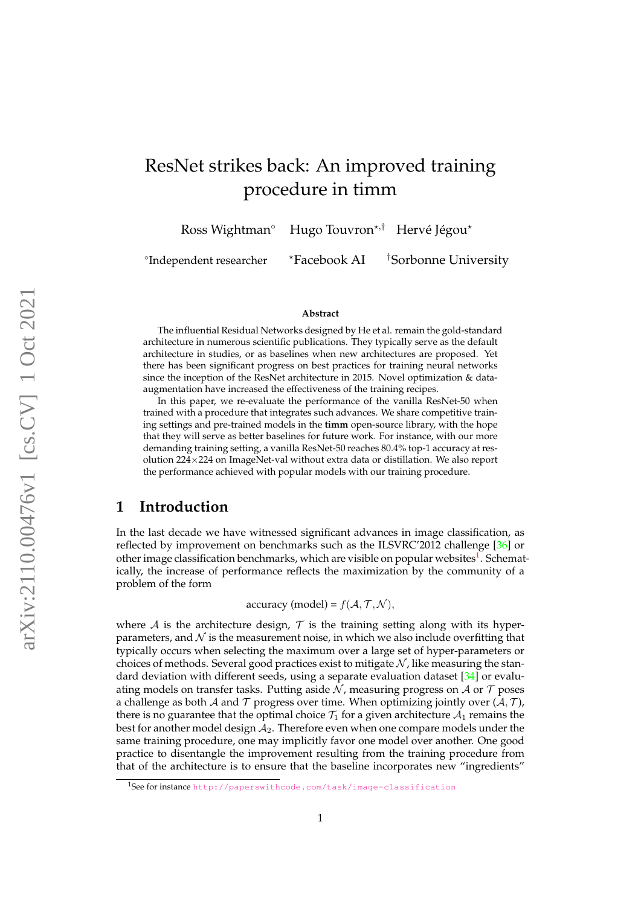# <span id="page-0-1"></span>ResNet strikes back: An improved training procedure in timm

Ross Wightman $^{\circ}$  – Hugo Touvron $^{\star, \dagger}$  – Hervé Jégou $^{\star}$ 

<sup>o</sup>Independent researcher

 $*$ Facebook AI  $*$ Sorbonne University

#### **Abstract**

The influential Residual Networks designed by He et al. remain the gold-standard architecture in numerous scientific publications. They typically serve as the default architecture in studies, or as baselines when new architectures are proposed. Yet there has been significant progress on best practices for training neural networks since the inception of the ResNet architecture in 2015. Novel optimization & dataaugmentation have increased the effectiveness of the training recipes.

In this paper, we re-evaluate the performance of the vanilla ResNet-50 when trained with a procedure that integrates such advances. We share competitive training settings and pre-trained models in the **timm** open-source library, with the hope that they will serve as better baselines for future work. For instance, with our more demanding training setting, a vanilla ResNet-50 reaches 80.4% top-1 accuracy at resolution 224×224 on ImageNet-val without extra data or distillation. We also report the performance achieved with popular models with our training procedure.

### **1 Introduction**

In the last decade we have witnessed significant advances in image classification, as reflected by improvement on benchmarks such as the ILSVRC'2012 challenge [\[36\]](#page-15-0) or other image classification benchmarks, which are visible on popular websites<sup>[1](#page-0-0)</sup>. Schematically, the increase of performance reflects the maximization by the community of a problem of the form

accuracy (model) =  $f(A, \mathcal{T}, \mathcal{N}),$ 

where A is the architecture design,  $\mathcal T$  is the training setting along with its hyperparameters, and  $N$  is the measurement noise, in which we also include overfitting that typically occurs when selecting the maximum over a large set of hyper-parameters or choices of methods. Several good practices exist to mitigate  $N$ , like measuring the standard deviation with different seeds, using a separate evaluation dataset [\[34\]](#page-15-1) or evaluating models on transfer tasks. Putting aside  $N$ , measuring progress on A or  $T$  poses a challenge as both A and T progress over time. When optimizing jointly over  $(A, \mathcal{T})$ , there is no guarantee that the optimal choice  $\mathcal{T}_1$  for a given architecture  $\mathcal{A}_1$  remains the best for another model design  $A_2$ . Therefore even when one compare models under the same training procedure, one may implicitly favor one model over another. One good practice to disentangle the improvement resulting from the training procedure from that of the architecture is to ensure that the baseline incorporates new "ingredients"

<span id="page-0-0"></span><sup>1</sup>See for instance <http://paperswithcode.com/task/image-classification>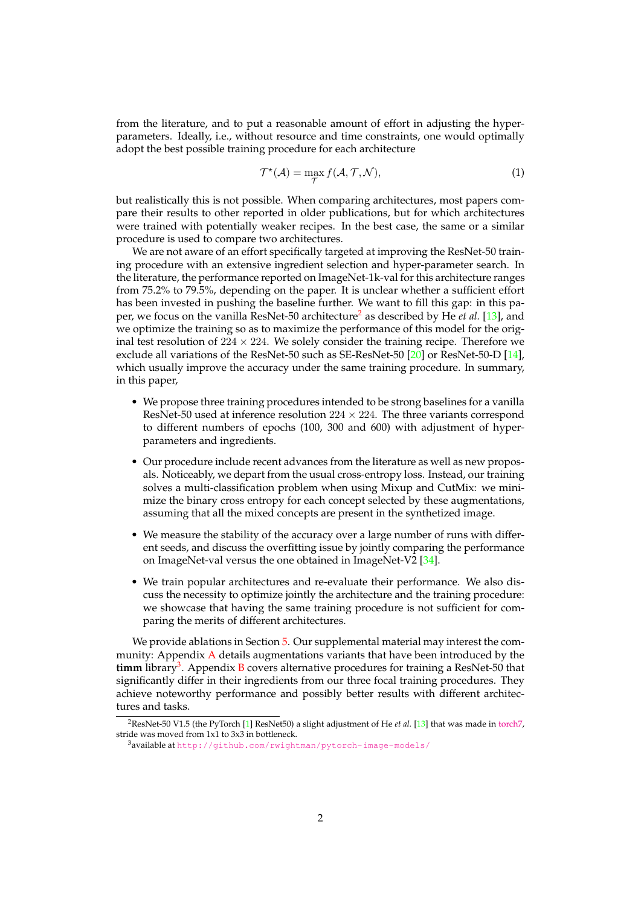<span id="page-1-2"></span>from the literature, and to put a reasonable amount of effort in adjusting the hyperparameters. Ideally, i.e., without resource and time constraints, one would optimally adopt the best possible training procedure for each architecture

$$
\mathcal{T}^{\star}(\mathcal{A}) = \max_{\mathcal{T}} f(\mathcal{A}, \mathcal{T}, \mathcal{N}),
$$
\n(1)

but realistically this is not possible. When comparing architectures, most papers compare their results to other reported in older publications, but for which architectures were trained with potentially weaker recipes. In the best case, the same or a similar procedure is used to compare two architectures.

We are not aware of an effort specifically targeted at improving the ResNet-50 training procedure with an extensive ingredient selection and hyper-parameter search. In the literature, the performance reported on ImageNet-1k-val for this architecture ranges from 75.2% to 79.5%, depending on the paper. It is unclear whether a sufficient effort has been invested in pushing the baseline further. We want to fill this gap: in this paper, we focus on the vanilla ResNet-50 architecture[2](#page-1-0) as described by He *et al.* [\[13\]](#page-14-0), and we optimize the training so as to maximize the performance of this model for the original test resolution of  $224 \times 224$ . We solely consider the training recipe. Therefore we exclude all variations of the ResNet-50 such as SE-ResNet-50 [\[20\]](#page-14-1) or ResNet-50-D [\[14\]](#page-14-2), which usually improve the accuracy under the same training procedure. In summary, in this paper,

- We propose three training procedures intended to be strong baselines for a vanilla ResNet-50 used at inference resolution  $224 \times 224$ . The three variants correspond to different numbers of epochs (100, 300 and 600) with adjustment of hyperparameters and ingredients.
- Our procedure include recent advances from the literature as well as new proposals. Noticeably, we depart from the usual cross-entropy loss. Instead, our training solves a multi-classification problem when using Mixup and CutMix: we minimize the binary cross entropy for each concept selected by these augmentations, assuming that all the mixed concepts are present in the synthetized image.
- We measure the stability of the accuracy over a large number of runs with different seeds, and discuss the overfitting issue by jointly comparing the performance on ImageNet-val versus the one obtained in ImageNet-V2 [\[34\]](#page-15-1).
- We train popular architectures and re-evaluate their performance. We also discuss the necessity to optimize jointly the architecture and the training procedure: we showcase that having the same training procedure is not sufficient for comparing the merits of different architectures.

We provide ablations in Section [5.](#page-10-0) Our supplemental material may interest the community: Appendix [A](#page-17-0) details augmentations variants that have been introduced by the **timm** library[3](#page-1-1) . Appendix [B](#page-18-0) covers alternative procedures for training a ResNet-50 that significantly differ in their ingredients from our three focal training procedures. They achieve noteworthy performance and possibly better results with different architectures and tasks.

<span id="page-1-0"></span><sup>&</sup>lt;sup>2</sup>ResNet-50 V1.5 (the PyTorch [\[1\]](#page-14-3) ResNet50) a slight adjustment of He *et al.* [\[13\]](#page-14-0) that was made in [torch7,](http://torch.ch/blog/2016/02/04/resnets.html) stride was moved from 1x1 to 3x3 in bottleneck.

<span id="page-1-1"></span><sup>3</sup>available at <http://github.com/rwightman/pytorch-image-models/>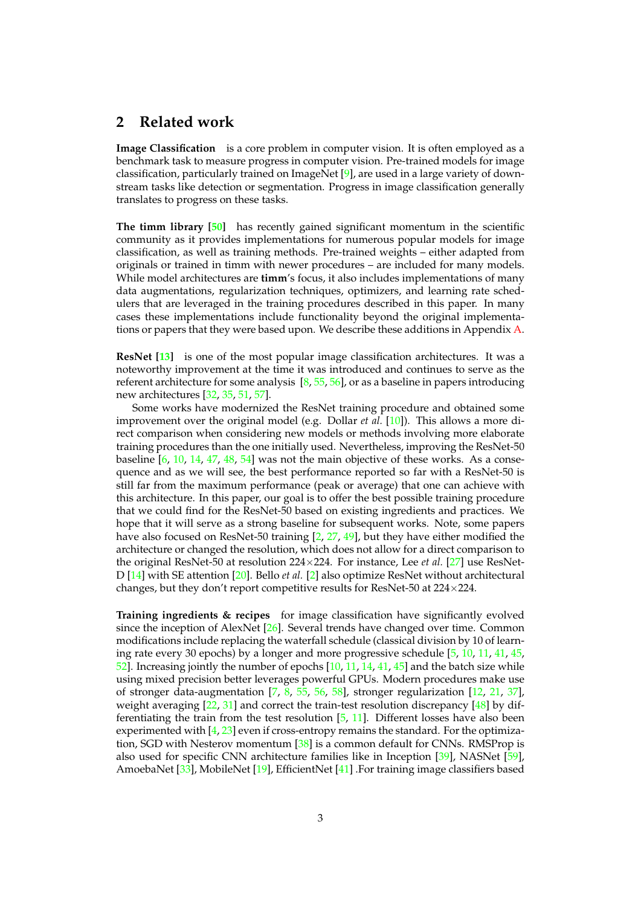#### <span id="page-2-0"></span>**2 Related work**

**Image Classification** is a core problem in computer vision. It is often employed as a benchmark task to measure progress in computer vision. Pre-trained models for image classification, particularly trained on ImageNet [\[9\]](#page-14-4), are used in a large variety of downstream tasks like detection or segmentation. Progress in image classification generally translates to progress on these tasks.

**The timm library [\[50\]](#page-16-0)** has recently gained significant momentum in the scientific community as it provides implementations for numerous popular models for image classification, as well as training methods. Pre-trained weights – either adapted from originals or trained in timm with newer procedures – are included for many models. While model architectures are **timm**'s focus, it also includes implementations of many data augmentations, regularization techniques, optimizers, and learning rate schedulers that are leveraged in the training procedures described in this paper. In many cases these implementations include functionality beyond the original implementations or papers that they were based upon. We describe these additions in Appendix [A.](#page-17-0)

**ResNet [\[13\]](#page-14-0)** is one of the most popular image classification architectures. It was a noteworthy improvement at the time it was introduced and continues to serve as the referent architecture for some analysis  $[8, 55, 56]$  $[8, 55, 56]$  $[8, 55, 56]$  $[8, 55, 56]$  $[8, 55, 56]$ , or as a baseline in papers introducing new architectures [\[32,](#page-15-2) [35,](#page-15-3) [51,](#page-16-3) [57\]](#page-16-4).

Some works have modernized the ResNet training procedure and obtained some improvement over the original model (e.g. Dollar *et al.* [\[10\]](#page-14-6)). This allows a more direct comparison when considering new models or methods involving more elaborate training procedures than the one initially used. Nevertheless, improving the ResNet-50 baseline  $[6, 10, 14, 47, 48, 54]$  $[6, 10, 14, 47, 48, 54]$  $[6, 10, 14, 47, 48, 54]$  $[6, 10, 14, 47, 48, 54]$  $[6, 10, 14, 47, 48, 54]$  $[6, 10, 14, 47, 48, 54]$  $[6, 10, 14, 47, 48, 54]$  $[6, 10, 14, 47, 48, 54]$  $[6, 10, 14, 47, 48, 54]$  $[6, 10, 14, 47, 48, 54]$  $[6, 10, 14, 47, 48, 54]$  was not the main objective of these works. As a consequence and as we will see, the best performance reported so far with a ResNet-50 is still far from the maximum performance (peak or average) that one can achieve with this architecture. In this paper, our goal is to offer the best possible training procedure that we could find for the ResNet-50 based on existing ingredients and practices. We hope that it will serve as a strong baseline for subsequent works. Note, some papers have also focused on ResNet-50 training [\[2,](#page-14-8) [27,](#page-15-4) [49\]](#page-16-8), but they have either modified the architecture or changed the resolution, which does not allow for a direct comparison to the original ResNet-50 at resolution  $224 \times 224$ . For instance, Lee *et al.* [\[27\]](#page-15-4) use ResNet-D [\[14\]](#page-14-2) with SE attention [\[20\]](#page-14-1). Bello *et al.* [\[2\]](#page-14-8) also optimize ResNet without architectural changes, but they don't report competitive results for ResNet-50 at  $224 \times 224$ .

**Training ingredients & recipes** for image classification have significantly evolved since the inception of AlexNet [\[26\]](#page-15-5). Several trends have changed over time. Common modifications include replacing the waterfall schedule (classical division by 10 of learning rate every 30 epochs) by a longer and more progressive schedule [\[5,](#page-14-9) [10,](#page-14-6) [11,](#page-14-10) [41,](#page-15-6) [45,](#page-16-9) [52\]](#page-16-10). Increasing jointly the number of epochs [\[10,](#page-14-6) [11,](#page-14-10) [14,](#page-14-2) [41,](#page-15-6) [45\]](#page-16-9) and the batch size while using mixed precision better leverages powerful GPUs. Modern procedures make use of stronger data-augmentation [\[7,](#page-14-11) [8,](#page-14-5) [55,](#page-16-1) [56,](#page-16-2) [58\]](#page-16-11), stronger regularization [\[12,](#page-14-12) [21,](#page-15-7) [37\]](#page-15-8), weight averaging  $[22, 31]$  $[22, 31]$  $[22, 31]$  and correct the train-test resolution discrepancy  $[48]$  by differentiating the train from the test resolution [\[5,](#page-14-9) [11\]](#page-14-10). Different losses have also been experimented with  $[4, 23]$  $[4, 23]$  $[4, 23]$  even if cross-entropy remains the standard. For the optimization, SGD with Nesterov momentum [\[38\]](#page-15-12) is a common default for CNNs. RMSProp is also used for specific CNN architecture families like in Inception [\[39\]](#page-15-13), NASNet [\[59\]](#page-16-12), AmoebaNet [\[33\]](#page-15-14), MobileNet [\[19\]](#page-14-14), EfficientNet [\[41\]](#page-15-6) .For training image classifiers based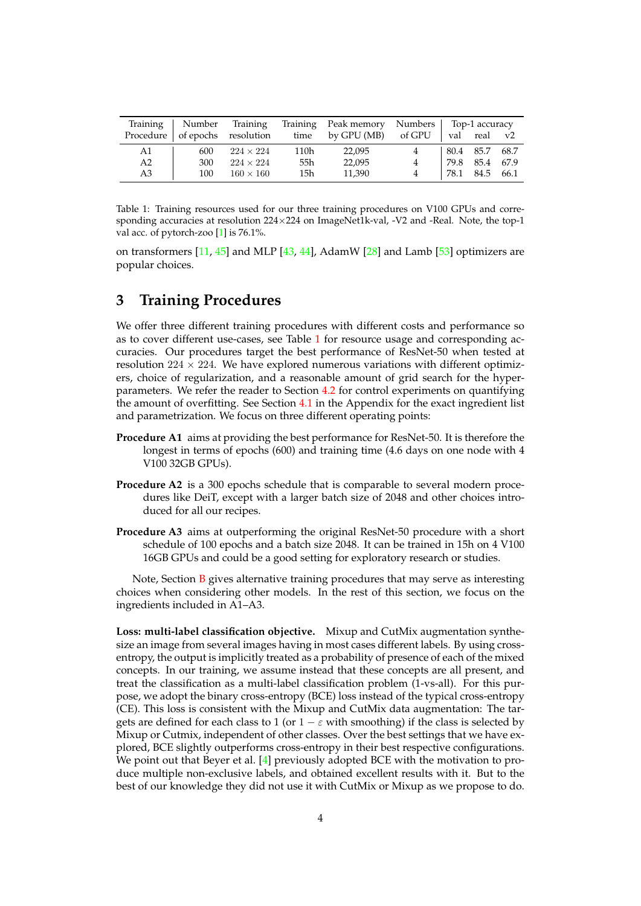<span id="page-3-1"></span><span id="page-3-0"></span>

|           |     |                           |      | Training   Number Training Training Peak memory Numbers   Top-1 accuracy |                |                  |             |
|-----------|-----|---------------------------|------|--------------------------------------------------------------------------|----------------|------------------|-------------|
| Procedure |     | of epochs resolution time |      | by GPU (MB) of GPU                                                       |                | val real         | $_{\rm V2}$ |
| A1        | 600 | $224 \times 224$          | 110h | 22,095                                                                   |                | 80.4 85.7        | 68.7        |
| A2        | 300 | $224 \times 224$          | 55h  | 22,095                                                                   | $\overline{4}$ | 79.8 85.4 67.9   |             |
| A3        | 100 | $160 \times 160$          | 15h  | 11.390                                                                   | $\overline{4}$ | $78.1$ 84.5 66.1 |             |

Table 1: Training resources used for our three training procedures on V100 GPUs and corresponding accuracies at resolution 224×224 on ImageNet1k-val, -V2 and -Real. Note, the top-1 val acc. of pytorch-zoo [\[1\]](#page-14-3) is 76.1%.

on transformers  $[11, 45]$  $[11, 45]$  $[11, 45]$  and MLP  $[43, 44]$  $[43, 44]$  $[43, 44]$ , AdamW  $[28]$  and Lamb  $[53]$  optimizers are popular choices.

### **3 Training Procedures**

We offer three different training procedures with different costs and performance so as to cover different use-cases, see Table [1](#page-3-0) for resource usage and corresponding accuracies. Our procedures target the best performance of ResNet-50 when tested at resolution  $224 \times 224$ . We have explored numerous variations with different optimizers, choice of regularization, and a reasonable amount of grid search for the hyperparameters. We refer the reader to Section [4.2](#page-6-0) for control experiments on quantifying the amount of overfitting. See Section [4.1](#page-6-1) in the Appendix for the exact ingredient list and parametrization. We focus on three different operating points:

- **Procedure A1** aims at providing the best performance for ResNet-50. It is therefore the longest in terms of epochs (600) and training time (4.6 days on one node with 4 V100 32GB GPUs).
- **Procedure A2** is a 300 epochs schedule that is comparable to several modern procedures like DeiT, except with a larger batch size of 2048 and other choices introduced for all our recipes.
- **Procedure A3** aims at outperforming the original ResNet-50 procedure with a short schedule of 100 epochs and a batch size 2048. It can be trained in 15h on 4 V100 16GB GPUs and could be a good setting for exploratory research or studies.

Note, Section  $\overline{B}$  $\overline{B}$  $\overline{B}$  gives alternative training procedures that may serve as interesting choices when considering other models. In the rest of this section, we focus on the ingredients included in A1–A3.

**Loss: multi-label classification objective.** Mixup and CutMix augmentation synthesize an image from several images having in most cases different labels. By using crossentropy, the output is implicitly treated as a probability of presence of each of the mixed concepts. In our training, we assume instead that these concepts are all present, and treat the classification as a multi-label classification problem (1-vs-all). For this purpose, we adopt the binary cross-entropy (BCE) loss instead of the typical cross-entropy (CE). This loss is consistent with the Mixup and CutMix data augmentation: The targets are defined for each class to 1 (or  $1 - \varepsilon$  with smoothing) if the class is selected by Mixup or Cutmix, independent of other classes. Over the best settings that we have explored, BCE slightly outperforms cross-entropy in their best respective configurations. We point out that Beyer et al. [\[4\]](#page-14-13) previously adopted BCE with the motivation to produce multiple non-exclusive labels, and obtained excellent results with it. But to the best of our knowledge they did not use it with CutMix or Mixup as we propose to do.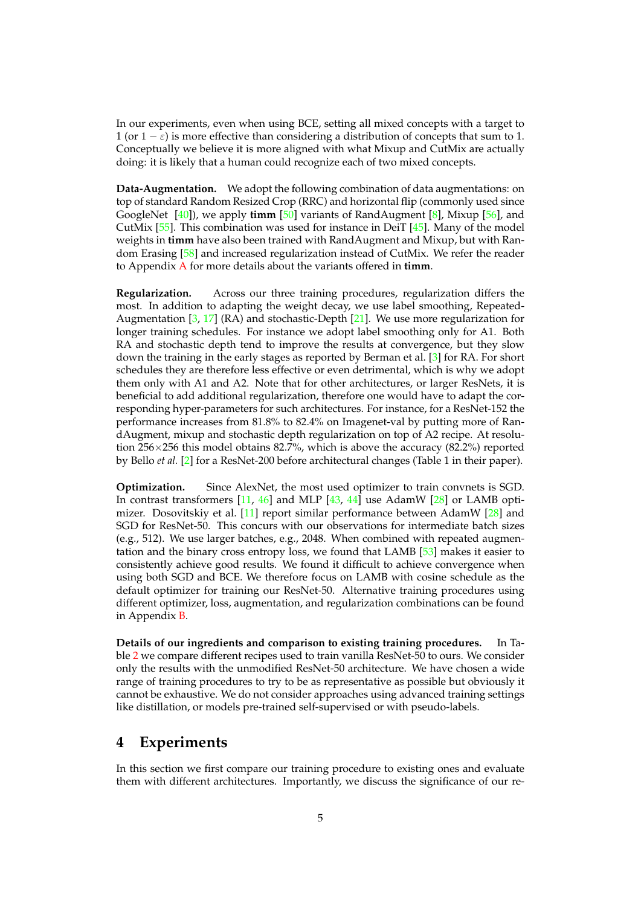<span id="page-4-0"></span>In our experiments, even when using BCE, setting all mixed concepts with a target to 1 (or  $1 - \varepsilon$ ) is more effective than considering a distribution of concepts that sum to 1. Conceptually we believe it is more aligned with what Mixup and CutMix are actually doing: it is likely that a human could recognize each of two mixed concepts.

**Data-Augmentation.** We adopt the following combination of data augmentations: on top of standard Random Resized Crop (RRC) and horizontal flip (commonly used since GoogleNet [\[40\]](#page-15-16)), we apply **timm** [\[50\]](#page-16-0) variants of RandAugment [\[8\]](#page-14-5), Mixup [\[56\]](#page-16-2), and CutMix [\[55\]](#page-16-1). This combination was used for instance in DeiT [\[45\]](#page-16-9). Many of the model weights in **timm** have also been trained with RandAugment and Mixup, but with Random Erasing [\[58\]](#page-16-11) and increased regularization instead of CutMix. We refer the reader to Appendix [A](#page-17-0) for more details about the variants offered in **timm**.

**Regularization.** Across our three training procedures, regularization differs the most. In addition to adapting the weight decay, we use label smoothing, Repeated-Augmentation  $[3, 17]$  $[3, 17]$  $[3, 17]$  (RA) and stochastic-Depth  $[21]$ . We use more regularization for longer training schedules. For instance we adopt label smoothing only for A1. Both RA and stochastic depth tend to improve the results at convergence, but they slow down the training in the early stages as reported by Berman et al. [\[3\]](#page-14-15) for RA. For short schedules they are therefore less effective or even detrimental, which is why we adopt them only with A1 and A2. Note that for other architectures, or larger ResNets, it is beneficial to add additional regularization, therefore one would have to adapt the corresponding hyper-parameters for such architectures. For instance, for a ResNet-152 the performance increases from 81.8% to 82.4% on Imagenet-val by putting more of RandAugment, mixup and stochastic depth regularization on top of A2 recipe. At resolution 256×256 this model obtains 82.7%, which is above the accuracy (82.2%) reported by Bello *et al.* [\[2\]](#page-14-8) for a ResNet-200 before architectural changes (Table 1 in their paper).

**Optimization.** Since AlexNet, the most used optimizer to train convnets is SGD. In contrast transformers [\[11,](#page-14-10) [46\]](#page-16-16) and MLP [\[43,](#page-16-13) [44\]](#page-16-14) use AdamW [\[28\]](#page-15-15) or LAMB optimizer. Dosovitskiy et al. [\[11\]](#page-14-10) report similar performance between AdamW [\[28\]](#page-15-15) and SGD for ResNet-50. This concurs with our observations for intermediate batch sizes (e.g., 512). We use larger batches, e.g., 2048. When combined with repeated augmentation and the binary cross entropy loss, we found that LAMB [\[53\]](#page-16-15) makes it easier to consistently achieve good results. We found it difficult to achieve convergence when using both SGD and BCE. We therefore focus on LAMB with cosine schedule as the default optimizer for training our ResNet-50. Alternative training procedures using different optimizer, loss, augmentation, and regularization combinations can be found in Appendix [B.](#page-18-0)

**Details of our ingredients and comparison to existing training procedures.** In Table [2](#page-5-0) we compare different recipes used to train vanilla ResNet-50 to ours. We consider only the results with the unmodified ResNet-50 architecture. We have chosen a wide range of training procedures to try to be as representative as possible but obviously it cannot be exhaustive. We do not consider approaches using advanced training settings like distillation, or models pre-trained self-supervised or with pseudo-labels.

#### **4 Experiments**

In this section we first compare our training procedure to existing ones and evaluate them with different architectures. Importantly, we discuss the significance of our re-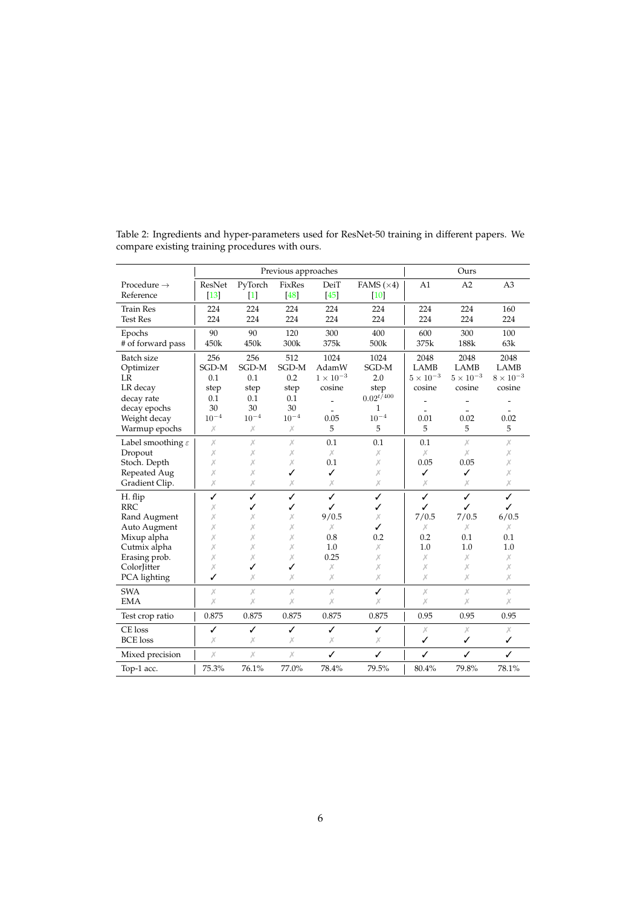|                                                                                                                                      |                                           |                                           | Previous approaches                       |                                                           |                                                |                                                        | Ours                                                   |                                                   |
|--------------------------------------------------------------------------------------------------------------------------------------|-------------------------------------------|-------------------------------------------|-------------------------------------------|-----------------------------------------------------------|------------------------------------------------|--------------------------------------------------------|--------------------------------------------------------|---------------------------------------------------|
| Procedure $\rightarrow$<br>Reference                                                                                                 | ResNet<br>$[13]$                          | PyTorch<br>$[1]$                          | FixRes<br>$[48]$                          | DeiT<br>[45]                                              | FAMS $(\times 4)$<br>$[10]$                    | A1                                                     | A2                                                     | A <sub>3</sub>                                    |
| <b>Train Res</b><br><b>Test Res</b>                                                                                                  | 224<br>224                                | 224<br>224                                | 224<br>224                                | 224<br>224                                                | 224<br>224                                     | 224<br>224                                             | 224<br>224                                             | 160<br>224                                        |
| Epochs<br># of forward pass                                                                                                          | 90<br>450k                                | 90<br>450k                                | 120<br>300k                               | 300<br>375k                                               | 400<br>500k                                    | 600<br>375k                                            | 300<br>188k                                            | 100<br>63k                                        |
| Batch size<br>Optimizer<br>LR<br>LR decay<br>decay rate                                                                              | 256<br>SGD-M<br>0.1<br>step<br>0.1        | 256<br>SGD-M<br>0.1<br>step<br>0.1        | 512<br>SGD-M<br>0.2<br>step<br>0.1        | 1024<br>AdamW<br>$1\times10^{-3}$<br>cosine               | 1024<br>SGD-M<br>2.0<br>step<br>$0.02^{t/400}$ | 2048<br><b>LAMB</b><br>$5\times10^{-3}$<br>cosine      | 2048<br><b>LAMB</b><br>$5 \times 10^{-3}$<br>cosine    | 2048<br><b>LAMB</b><br>$8\times10^{-3}$<br>cosine |
| decay epochs<br>Weight decay<br>Warmup epochs                                                                                        | 30<br>$10^{-4}$<br>Х                      | 30<br>$10^{-4}$<br>Х                      | 30<br>$10^{-4}$<br>Х                      | 0.05<br>5                                                 | 1<br>$10^{-4}$<br>5                            | 0.01<br>5                                              | 0.02<br>5                                              | 0.02<br>5                                         |
| Label smoothing $\varepsilon$<br>Dropout<br>Stoch. Depth<br>Repeated Aug<br>Gradient Clip.                                           | $\chi$<br>Х<br>Х<br>Х<br>Х                | $\times$<br>Х<br>Х<br>Х<br>Х              | X<br>Х<br>X<br>✓<br>Х                     | 0.1<br>$\chi$<br>0.1<br>✓<br>Х                            | 0.1<br>Х<br>Х<br>Х<br>Х                        | 0.1<br>Х<br>0.05<br>✓<br>Х                             | Х<br>$\chi$<br>0.05<br>✓<br>Х                          | Х<br>Х<br>Х<br>Х<br>Х                             |
| H. flip<br><b>RRC</b><br>Rand Augment<br>Auto Augment<br>Mixup alpha<br>Cutmix alpha<br>Erasing prob.<br>ColorJitter<br>PCA lighting | ✓<br>Х<br>Х<br>Х<br>Х<br>Х<br>Х<br>Х<br>✓ | ✓<br>✓<br>Х<br>Х<br>Х<br>Х<br>Х<br>✓<br>Х | ✓<br>✓<br>X<br>Х<br>X<br>Х<br>Х<br>✓<br>Х | ✓<br>✓<br>9/0.5<br>Х<br>0.8<br>1.0<br>0.25<br>Х<br>$\chi$ | ✓<br>✓<br>Х<br>✓<br>0.2<br>Х<br>Х<br>Х<br>Х    | ✓<br>✓<br>7/0.5<br>Х<br>0.2<br>1.0<br>$\chi$<br>X<br>X | ✓<br>✓<br>7/0.5<br>Х<br>0.1<br>1.0<br>$\chi$<br>Х<br>Х | ✓<br>✓<br>6/0.5<br>Х<br>0.1<br>1.0<br>Х<br>Х<br>Х |
| <b>SWA</b><br><b>EMA</b>                                                                                                             | $\chi$<br>$\chi$                          | X<br>Х                                    | $\times$<br>$\times$                      | $\chi$<br>Х                                               | ✓<br>Х                                         | $\chi$<br>X                                            | $\chi$<br>Х                                            | $\chi$<br>Х                                       |
| Test crop ratio                                                                                                                      | 0.875                                     | 0.875                                     | 0.875                                     | 0.875                                                     | 0.875                                          | 0.95                                                   | 0.95                                                   | 0.95                                              |
| CE loss<br><b>BCE</b> loss                                                                                                           | ✓<br>$\chi$                               | ✓<br>Х                                    | ✓<br>Х                                    | ✓<br>Х                                                    | ✓<br>X                                         | $\chi$<br>✓                                            | $\chi$<br>✓                                            | Х<br>✓                                            |
| Mixed precision                                                                                                                      | $\chi$                                    | Х                                         | Х                                         | ✓                                                         | ✓                                              | ✓                                                      | ✓                                                      | ✓                                                 |
| Top-1 acc.                                                                                                                           | 75.3%                                     | 76.1%                                     | 77.0%                                     | 78.4%                                                     | 79.5%                                          | 80.4%                                                  | 79.8%                                                  | 78.1%                                             |

<span id="page-5-1"></span><span id="page-5-0"></span>Table 2: Ingredients and hyper-parameters used for ResNet-50 training in different papers. We compare existing training procedures with ours.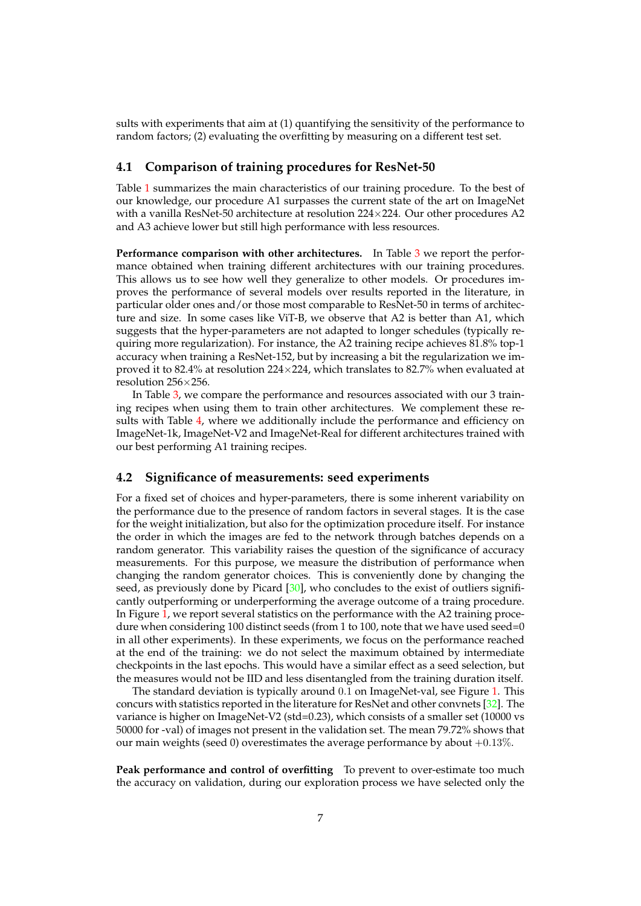<span id="page-6-2"></span>sults with experiments that aim at (1) quantifying the sensitivity of the performance to random factors; (2) evaluating the overfitting by measuring on a different test set.

#### <span id="page-6-1"></span>**4.1 Comparison of training procedures for ResNet-50**

Table [1](#page-3-0) summarizes the main characteristics of our training procedure. To the best of our knowledge, our procedure A1 surpasses the current state of the art on ImageNet with a vanilla ResNet-50 architecture at resolution  $224\times224$ . Our other procedures A2 and A3 achieve lower but still high performance with less resources.

**Performance comparison with other architectures.** In Table [3](#page-7-0) we report the performance obtained when training different architectures with our training procedures. This allows us to see how well they generalize to other models. Or procedures improves the performance of several models over results reported in the literature, in particular older ones and/or those most comparable to ResNet-50 in terms of architecture and size. In some cases like ViT-B, we observe that A2 is better than A1, which suggests that the hyper-parameters are not adapted to longer schedules (typically requiring more regularization). For instance, the A2 training recipe achieves 81.8% top-1 accuracy when training a ResNet-152, but by increasing a bit the regularization we improved it to 82.4% at resolution 224×224, which translates to 82.7% when evaluated at resolution 256×256.

In Table [3,](#page-7-0) we compare the performance and resources associated with our 3 training recipes when using them to train other architectures. We complement these results with Table [4,](#page-8-0) where we additionally include the performance and efficiency on ImageNet-1k, ImageNet-V2 and ImageNet-Real for different architectures trained with our best performing A1 training recipes.

#### <span id="page-6-0"></span>**4.2 Significance of measurements: seed experiments**

For a fixed set of choices and hyper-parameters, there is some inherent variability on the performance due to the presence of random factors in several stages. It is the case for the weight initialization, but also for the optimization procedure itself. For instance the order in which the images are fed to the network through batches depends on a random generator. This variability raises the question of the significance of accuracy measurements. For this purpose, we measure the distribution of performance when changing the random generator choices. This is conveniently done by changing the seed, as previously done by Picard [\[30\]](#page-15-17), who concludes to the exist of outliers significantly outperforming or underperforming the average outcome of a traing procedure. In Figure [1,](#page-9-0) we report several statistics on the performance with the A2 training procedure when considering 100 distinct seeds (from 1 to 100, note that we have used seed=0 in all other experiments). In these experiments, we focus on the performance reached at the end of the training: we do not select the maximum obtained by intermediate checkpoints in the last epochs. This would have a similar effect as a seed selection, but the measures would not be IID and less disentangled from the training duration itself.

The standard deviation is typically around 0.1 on ImageNet-val, see Figure [1.](#page-9-0) This concurs with statistics reported in the literature for ResNet and other convnets [\[32\]](#page-15-2). The variance is higher on ImageNet-V2 (std=0.23), which consists of a smaller set (10000 vs 50000 for -val) of images not present in the validation set. The mean 79.72% shows that our main weights (seed 0) overestimates the average performance by about  $+0.13\%$ .

**Peak performance and control of overfitting** To prevent to over-estimate too much the accuracy on validation, during our exploration process we have selected only the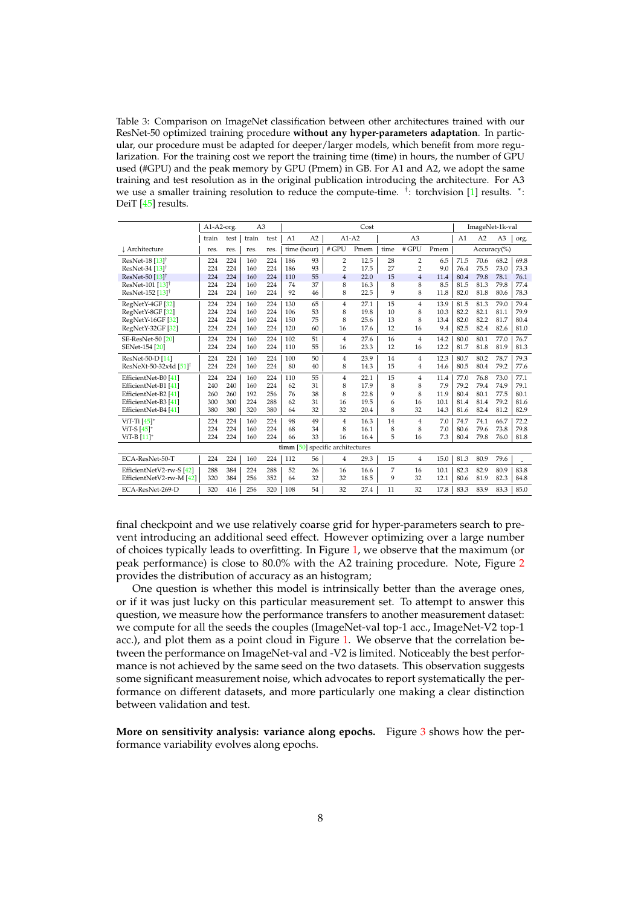<span id="page-7-1"></span><span id="page-7-0"></span>Table 3: Comparison on ImageNet classification between other architectures trained with our ResNet-50 optimized training procedure **without any hyper-parameters adaptation**. In particular, our procedure must be adapted for deeper/larger models, which benefit from more regularization. For the training cost we report the training time (time) in hours, the number of GPU used (#GPU) and the peak memory by GPU (Pmem) in GB. For A1 and A2, we adopt the same training and test resolution as in the original publication introducing the architecture. For A3 we use a smaller training resolution to reduce the compute-time. <sup>†</sup>: torchvision [\[1\]](#page-14-3) results. \*: DeiT [\[45\]](#page-16-9) results.

|                                    | A1-A2-org. |      | A <sub>3</sub> |      |     |                |                                    | Cost    |      |                |      |                | ImageNet-1k-val |                |      |
|------------------------------------|------------|------|----------------|------|-----|----------------|------------------------------------|---------|------|----------------|------|----------------|-----------------|----------------|------|
|                                    | train      | test | train          | test | A1  | A <sub>2</sub> |                                    | $A1-A2$ |      | A <sub>3</sub> |      | A <sub>1</sub> | A2              | A <sub>3</sub> | org. |
| ↓ Architecture                     | res.       | res. | res.           | res. |     | time (hour)    | # GPU                              | Pmem    | time | # GPU          | Pmem |                |                 | Accuracy(%)    |      |
| ResNet-18 $[13]$ <sup>†</sup>      | 224        | 224  | 160            | 224  | 186 | 93             | $\overline{2}$                     | 12.5    | 28   | $\overline{2}$ | 6.5  | 71.5           | 70.6            | 68.2           | 69.8 |
| ResNet-34 [13] <sup>†</sup>        | 224        | 224  | 160            | 224  | 186 | 93             | $\overline{2}$                     | 17.5    | 27   | $\overline{2}$ | 9.0  | 76.4           | 75.5            | 73.0           | 73.3 |
| ResNet-50 [13] <sup>†</sup>        | 224        | 224  | 160            | 224  | 110 | 55             | $\overline{4}$                     | 22.0    | 15   | $\overline{4}$ | 11.4 | 80.4           | 79.8            | 78.1           | 76.1 |
| ResNet-101 [13] <sup>†</sup>       | 224        | 224  | 160            | 224  | 74  | 37             | 8                                  | 16.3    | 8    | 8              | 8.5  | 81.5           | 81.3            | 79.8           | 77.4 |
| ResNet-152 [13] <sup>†</sup>       | 224        | 224  | 160            | 224  | 92  | 46             | 8                                  | 22.5    | 9    | 8              | 11.8 | 82.0           | 81.8            | 80.6           | 78.3 |
| RegNetY-4GF [32]                   | 224        | 224  | 160            | 224  | 130 | 65             | $\overline{4}$                     | 27.1    | 15   | $\overline{4}$ | 13.9 | 81.5           | 81.3            | 79.0           | 79.4 |
| RegNetY-8GF [32]                   | 224        | 224  | 160            | 224  | 106 | 53             | 8                                  | 19.8    | 10   | 8              | 10.3 | 82.2           | 82.1            | 81.1           | 79.9 |
| RegNetY-16GF [32]                  | 224        | 224  | 160            | 224  | 150 | 75             | 8                                  | 25.6    | 13   | 8              | 13.4 | 82.0           | 82.2            | 81.7           | 80.4 |
| RegNetY-32GF [32]                  | 224        | 224  | 160            | 224  | 120 | 60             | 16                                 | 17.6    | 12   | 16             | 9.4  | 82.5           | 82.4            | 82.6           | 81.0 |
| <b>SE-ResNet-50 [20]</b>           | 224        | 224  | 160            | 224  | 102 | 51             | $\overline{4}$                     | 27.6    | 16   | $\overline{4}$ | 14.2 | 80.0           | 80.1            | 77.0           | 76.7 |
| SENet-154 [20]                     | 224        | 224  | 160            | 224  | 110 | 55             | 16                                 | 23.3    | 12   | 16             | 12.2 | 81.7           | 81.8            | 81.9           | 81.3 |
| ResNet-50-D [14]                   | 224        | 224  | 160            | 224  | 100 | 50             | $\overline{4}$                     | 23.9    | 14   | 4              | 12.3 | 80.7           | 80.2            | 78.7           | 79.3 |
| ResNeXt-50-32x4d [51] <sup>†</sup> | 224        | 224  | 160            | 224  | 80  | 40             | 8                                  | 14.3    | 15   | $\overline{4}$ | 14.6 | 80.5           | 80.4            | 79.2           | 77.6 |
| EfficientNet-B0 [41]               | 224        | 224  | 160            | 224  | 110 | 55             | $\overline{4}$                     | 22.1    | 15   | $\overline{4}$ | 11.4 | 77.0           | 76.8            | 73.0           | 77.1 |
| EfficientNet-B1 [41]               | 240        | 240  | 160            | 224  | 62  | 31             | 8                                  | 17.9    | 8    | 8              | 7.9  | 79.2           | 79.4            | 74.9           | 79.1 |
| EfficientNet-B2 [41]               | 260        | 260  | 192            | 256  | 76  | 38             | 8                                  | 22.8    | 9    | 8              | 11.9 | 80.4           | 80.1            | 77.5           | 80.1 |
| EfficientNet-B3 [41]               | 300        | 300  | 224            | 288  | 62  | 31             | 16                                 | 19.5    | 6    | 16             | 10.1 | 81.4           | 81.4            | 79.2           | 81.6 |
| EfficientNet-B4 [41]               | 380        | 380  | 320            | 380  | 64  | 32             | 32                                 | 20.4    | 8    | 32             | 14.3 | 81.6           | 82.4            | 81.2           | 82.9 |
| ViT-Ti $[45]$ *                    | 224        | 224  | 160            | 224  | 98  | 49             | $\overline{4}$                     | 16.3    | 14   | $\overline{4}$ | 7.0  | 74.7           | 74.1            | 66.7           | 72.2 |
| ViT-S $[45]^*$                     | 224        | 224  | 160            | 224  | 68  | 34             | 8                                  | 16.1    | 8    | 8              | 7.0  | 80.6           | 79.6            | 73.8           | 79.8 |
| ViT-B [11]*                        | 224        | 224  | 160            | 224  | 66  | 33             | 16                                 | 16.4    | 5    | 16             | 7.3  | 80.4           | 79.8            | 76.0           | 81.8 |
|                                    |            |      |                |      |     |                | $\lim_{50}$ specific architectures |         |      |                |      |                |                 |                |      |
| ECA-ResNet-50-T                    | 224        | 224  | 160            | 224  | 112 | 56             | $\overline{4}$                     | 29.3    | 15   | $\overline{4}$ | 15.0 | 81.3           | 80.9            | 79.6           |      |
| EfficientNetV2-rw-S [42]           | 288        | 384  | 224            | 288  | 52  | 26             | 16                                 | 16.6    | 7    | 16             | 10.1 | 82.3           | 82.9            | 80.9           | 83.8 |
| EfficientNetV2-rw-M [42]           | 320        | 384  | 256            | 352  | 64  | 32             | 32                                 | 18.5    | 9    | 32             | 12.1 | 80.6           | 81.9            | 82.3           | 84.8 |
| ECA-ResNet-269-D                   | 320        | 416  | 256            | 320  | 108 | 54             | 32                                 | 27.4    | 11   | 32             | 17.8 | 83.3           | 83.9            | 83.3           | 85.0 |

final checkpoint and we use relatively coarse grid for hyper-parameters search to prevent introducing an additional seed effect. However optimizing over a large number of choices typically leads to overfitting. In Figure [1,](#page-9-0) we observe that the maximum (or peak performance) is close to 80.0% with the A2 training procedure. Note, Figure [2](#page-9-1) provides the distribution of accuracy as an histogram;

One question is whether this model is intrinsically better than the average ones, or if it was just lucky on this particular measurement set. To attempt to answer this question, we measure how the performance transfers to another measurement dataset: we compute for all the seeds the couples (ImageNet-val top-1 acc., ImageNet-V2 top-1 acc.), and plot them as a point cloud in Figure [1.](#page-9-0) We observe that the correlation between the performance on ImageNet-val and -V2 is limited. Noticeably the best performance is not achieved by the same seed on the two datasets. This observation suggests some significant measurement noise, which advocates to report systematically the performance on different datasets, and more particularly one making a clear distinction between validation and test.

**More on sensitivity analysis: variance along epochs.** Figure [3](#page-10-1) shows how the performance variability evolves along epochs.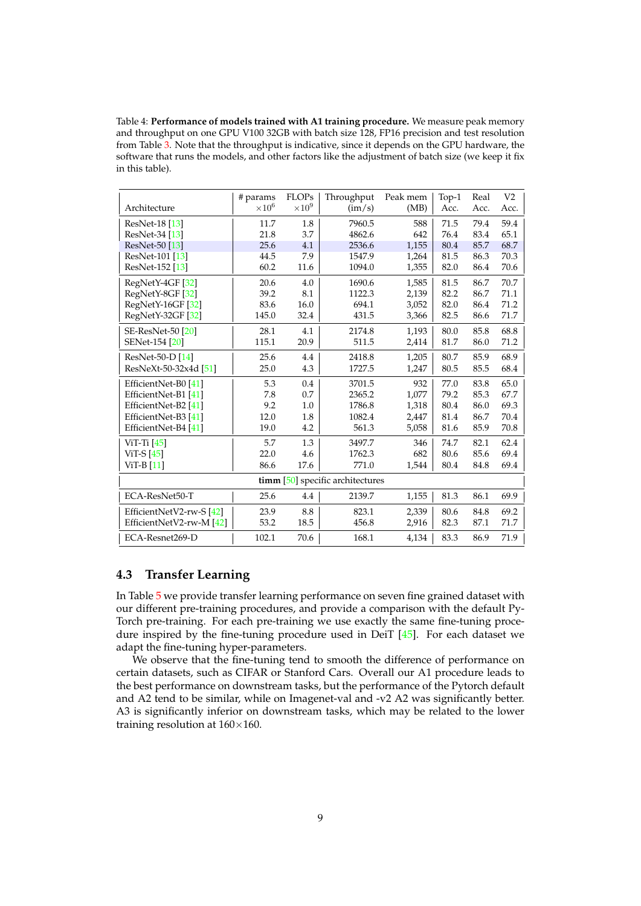<span id="page-8-1"></span><span id="page-8-0"></span>Table 4: **Performance of models trained with A1 training procedure.** We measure peak memory and throughput on one GPU V100 32GB with batch size 128, FP16 precision and test resolution from Table [3.](#page-7-0) Note that the throughput is indicative, since it depends on the GPU hardware, the software that runs the models, and other factors like the adjustment of batch size (we keep it fix in this table).

|                          | # params      | <b>FLOPs</b>  | Throughput                       | Peak mem | Top-1 | Real | V <sub>2</sub> |
|--------------------------|---------------|---------------|----------------------------------|----------|-------|------|----------------|
| Architecture             | $\times 10^6$ | $\times 10^9$ | (im/s)                           | (MB)     | Acc.  | Acc. | Acc.           |
| ResNet-18 [13]           | 11.7          | 1.8           | 7960.5                           | 588      | 71.5  | 79.4 | 59.4           |
| ResNet-34 [13]           | 21.8          | 3.7           | 4862.6                           | 642      | 76.4  | 83.4 | 65.1           |
| ResNet-50 [13]           | 25.6          | 4.1           | 2536.6                           | 1,155    | 80.4  | 85.7 | 68.7           |
| ResNet-101 [13]          | 44.5          | 7.9           | 1547.9                           | 1,264    | 81.5  | 86.3 | 70.3           |
| ResNet-152 [13]          | 60.2          | 11.6          | 1094.0                           | 1,355    | 82.0  | 86.4 | 70.6           |
| RegNetY-4GF [32]         | 20.6          | 4.0           | 1690.6                           | 1,585    | 81.5  | 86.7 | 70.7           |
| RegNetY-8GF [32]         | 39.2          | 8.1           | 1122.3                           | 2,139    | 82.2  | 86.7 | 71.1           |
| RegNetY-16GF [32]        | 83.6          | 16.0          | 694.1                            | 3,052    | 82.0  | 86.4 | 71.2           |
| RegNetY-32GF [32]        | 145.0         | 32.4          | 431.5                            | 3,366    | 82.5  | 86.6 | 71.7           |
| <b>SE-ResNet-50 [20]</b> | 28.1          | 4.1           | 2174.8                           | 1,193    | 80.0  | 85.8 | 68.8           |
| SENet-154 [20]           | 115.1         | 20.9          | 511.5                            | 2,414    | 81.7  | 86.0 | 71.2           |
| ResNet-50-D [14]         | 25.6          | 4.4           | 2418.8                           | 1,205    | 80.7  | 85.9 | 68.9           |
| ResNeXt-50-32x4d [51]    | 25.0          | 4.3           | 1727.5                           | 1,247    | 80.5  | 85.5 | 68.4           |
| EfficientNet-B0 [41]     | 5.3           | 0.4           | 3701.5                           | 932      | 77.0  | 83.8 | 65.0           |
| EfficientNet-B1 [41]     | 7.8           | 0.7           | 2365.2                           | 1.077    | 79.2  | 85.3 | 67.7           |
| EfficientNet-B2 [41]     | 9.2           | 1.0           | 1786.8                           | 1.318    | 80.4  | 86.0 | 69.3           |
| EfficientNet-B3 [41]     | 12.0          | 1.8           | 1082.4                           | 2,447    | 81.4  | 86.7 | 70.4           |
| EfficientNet-B4 [41]     | 19.0          | 4.2           | 561.3                            | 5,058    | 81.6  | 85.9 | 70.8           |
| ViT-Ti $[45]$            | 5.7           | 1.3           | 3497.7                           | 346      | 74.7  | 82.1 | 62.4           |
| ViT-S $[45]$             | 22.0          | 4.6           | 1762.3                           | 682      | 80.6  | 85.6 | 69.4           |
| $ViT-B[11]$              | 86.6          | 17.6          | 771.0                            | 1,544    | 80.4  | 84.8 | 69.4           |
|                          |               |               | timm [50] specific architectures |          |       |      |                |
| ECA-ResNet50-T           | 25.6          | 4.4           | 2139.7                           | 1,155    | 81.3  | 86.1 | 69.9           |
| EfficientNetV2-rw-S [42] | 23.9          | 8.8           | 823.1                            | 2,339    | 80.6  | 84.8 | 69.2           |
| EfficientNetV2-rw-M [42] | 53.2          | 18.5          | 456.8                            | 2,916    | 82.3  | 87.1 | 71.7           |
| ECA-Resnet269-D          | 102.1         | 70.6          | 168.1                            | 4,134    | 83.3  | 86.9 | 71.9           |

#### **4.3 Transfer Learning**

In Table [5](#page-10-2) we provide transfer learning performance on seven fine grained dataset with our different pre-training procedures, and provide a comparison with the default Py-Torch pre-training. For each pre-training we use exactly the same fine-tuning procedure inspired by the fine-tuning procedure used in DeiT [\[45\]](#page-16-9). For each dataset we adapt the fine-tuning hyper-parameters.

We observe that the fine-tuning tend to smooth the difference of performance on certain datasets, such as CIFAR or Stanford Cars. Overall our A1 procedure leads to the best performance on downstream tasks, but the performance of the Pytorch default and A2 tend to be similar, while on Imagenet-val and -v2 A2 was significantly better. A3 is significantly inferior on downstream tasks, which may be related to the lower training resolution at 160×160.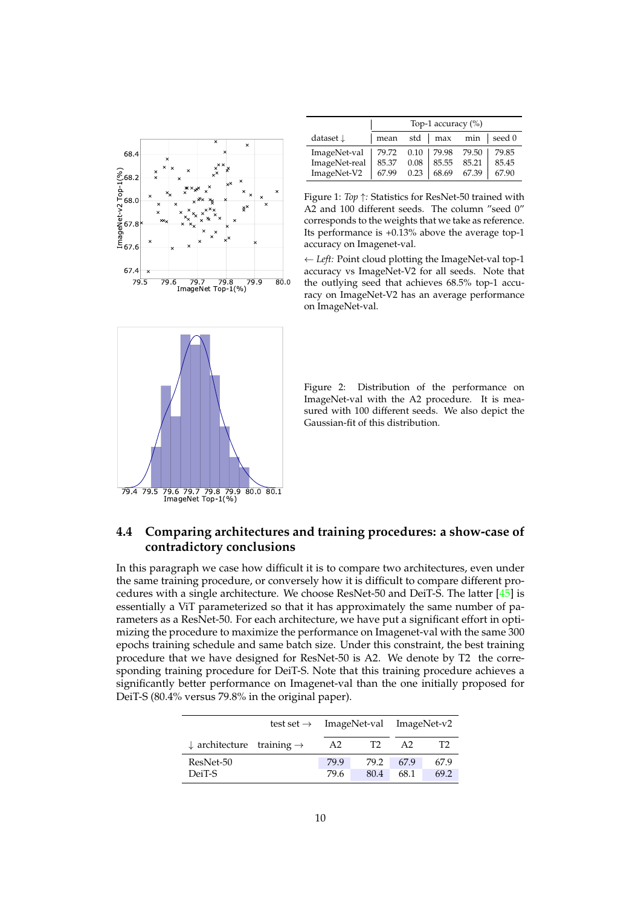<span id="page-9-2"></span><span id="page-9-0"></span>

|                                         | Top-1 accuracy $(\%)$ |      |                  |                             |       |  |  |  |  |
|-----------------------------------------|-----------------------|------|------------------|-----------------------------|-------|--|--|--|--|
| dataset <b>L</b>                        |                       |      |                  | mean std   max min   seed 0 |       |  |  |  |  |
| ImageNet-val   79.72 0.10   79.98 79.50 |                       |      |                  |                             | 79.85 |  |  |  |  |
| ImageNet-real                           |                       |      | 85.37 0.08 85.55 | 85.21                       | 85.45 |  |  |  |  |
| ImageNet-V2                             | 67.99                 | 0.23 | 68.69            | 67.39                       | 67.90 |  |  |  |  |

Figure 1: *Top* ↑*:* Statistics for ResNet-50 trained with A2 and 100 different seeds. The column "seed 0" corresponds to the weights that we take as reference. Its performance is +0.13% above the average top-1 accuracy on Imagenet-val.

79.5 79.6 79.7 79.8 79.9 80.0 the outlying seed that achieves 68.5% top-1 accu-← *Left:* Point cloud plotting the ImageNet-val top-1 accuracy vs ImageNet-V2 for all seeds. Note that racy on ImageNet-V2 has an average performance on ImageNet-val.

<span id="page-9-1"></span>

Figure 2: Distribution of the performance on ImageNet-val with the A2 procedure. It is measured with 100 different seeds. We also depict the Gaussian-fit of this distribution.

#### **4.4 Comparing architectures and training procedures: a show-case of contradictory conclusions**

In this paragraph we case how difficult it is to compare two architectures, even under the same training procedure, or conversely how it is difficult to compare different procedures with a single architecture. We choose ResNet-50 and DeiT-S. The latter  $[4\overline{5}]$  is essentially a ViT parameterized so that it has approximately the same number of parameters as a ResNet-50. For each architecture, we have put a significant effort in optimizing the procedure to maximize the performance on Imagenet-val with the same 300 epochs training schedule and same batch size. Under this constraint, the best training procedure that we have designed for ResNet-50 is A2. We denote by T2 the corresponding training procedure for DeiT-S. Note that this training procedure achieves a significantly better performance on Imagenet-val than the one initially proposed for DeiT-S (80.4% versus 79.8% in the original paper).

|                                                  |  | test set $\rightarrow$ ImageNet-val ImageNet-v2 |                |              |              |  |  |
|--------------------------------------------------|--|-------------------------------------------------|----------------|--------------|--------------|--|--|
| $\downarrow$ architecture training $\rightarrow$ |  | A2                                              | T <sub>2</sub> | A2           |              |  |  |
| ResNet-50<br>DeiT-S                              |  |                                                 | 79.2<br>80.4   | 67.9<br>68.1 | 67.9<br>69.2 |  |  |
|                                                  |  | 79.6                                            |                |              |              |  |  |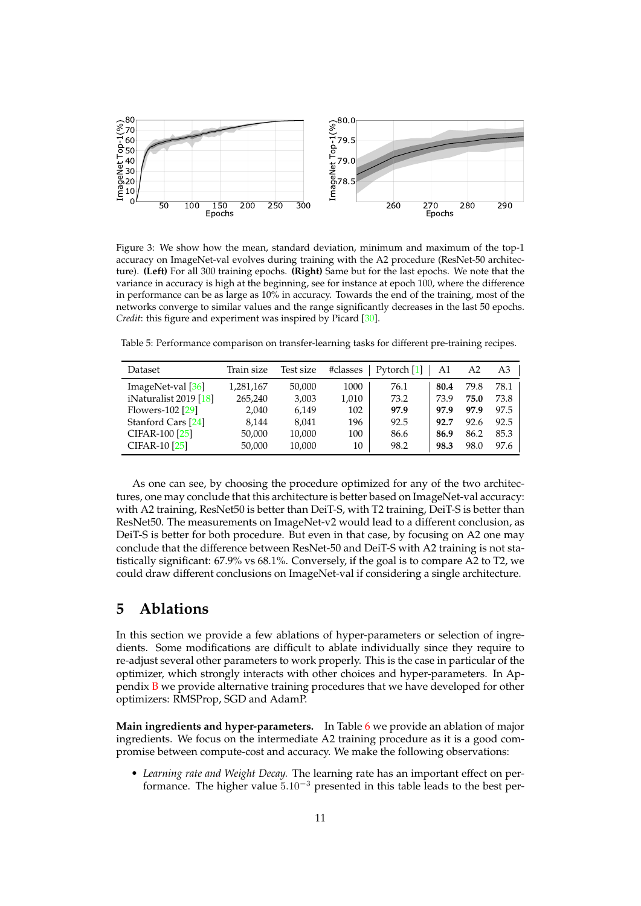<span id="page-10-3"></span><span id="page-10-1"></span>

Figure 3: We show how the mean, standard deviation, minimum and maximum of the top-1 accuracy on ImageNet-val evolves during training with the A2 procedure (ResNet-50 architecture). **(Left)** For all 300 training epochs. **(Right)** Same but for the last epochs. We note that the variance in accuracy is high at the beginning, see for instance at epoch 100, where the difference in performance can be as large as 10% in accuracy. Towards the end of the training, most of the networks converge to similar values and the range significantly decreases in the last 50 epochs. *Credit*: this figure and experiment was inspired by Picard [\[30\]](#page-15-17).

<span id="page-10-2"></span>Table 5: Performance comparison on transfer-learning tasks for different pre-training recipes.

| Dataset                     | Train size | Test size | #classes | Pytorch [1] | A1   | A2   | A3   |
|-----------------------------|------------|-----------|----------|-------------|------|------|------|
| $ImageNet-val$ [ $36$ ]     | 1,281,167  | 50,000    | 1000     | 76.1        | 80.4 | 79.8 | 78.1 |
| iNaturalist 2019 $[18]$     | 265,240    | 3,003     | 1,010    | 73.2        | 73.9 | 75.0 | 73.8 |
| Flowers-102 <sup>[29]</sup> | 2.040      | 6,149     | 102      | 97.9        | 97.9 | 97.9 | 97.5 |
| Stanford Cars [24]          | 8.144      | 8.041     | 196      | 92.5        | 92.7 | 92.6 | 92.5 |
| CIFAR-100 [25]              | 50,000     | 10,000    | 100      | 86.6        | 86.9 | 86.2 | 85.3 |
| <b>CIFAR-10 [25]</b>        | 50,000     | 10,000    | 10       | 98.2        | 98.3 | 98.0 | 97.6 |

As one can see, by choosing the procedure optimized for any of the two architectures, one may conclude that this architecture is better based on ImageNet-val accuracy: with A2 training, ResNet50 is better than DeiT-S, with T2 training, DeiT-S is better than ResNet50. The measurements on ImageNet-v2 would lead to a different conclusion, as DeiT-S is better for both procedure. But even in that case, by focusing on A2 one may conclude that the difference between ResNet-50 and DeiT-S with A2 training is not statistically significant: 67.9% vs 68.1%. Conversely, if the goal is to compare A2 to T2, we could draw different conclusions on ImageNet-val if considering a single architecture.

### <span id="page-10-0"></span>**5 Ablations**

In this section we provide a few ablations of hyper-parameters or selection of ingredients. Some modifications are difficult to ablate individually since they require to re-adjust several other parameters to work properly. This is the case in particular of the optimizer, which strongly interacts with other choices and hyper-parameters. In Appendix [B](#page-18-0) we provide alternative training procedures that we have developed for other optimizers: RMSProp, SGD and AdamP.

**Main ingredients and hyper-parameters.** In Table [6](#page-11-0) we provide an ablation of major ingredients. We focus on the intermediate A2 training procedure as it is a good compromise between compute-cost and accuracy. We make the following observations:

• *Learning rate and Weight Decay.* The learning rate has an important effect on performance. The higher value  $5.10^{-3}$  presented in this table leads to the best per-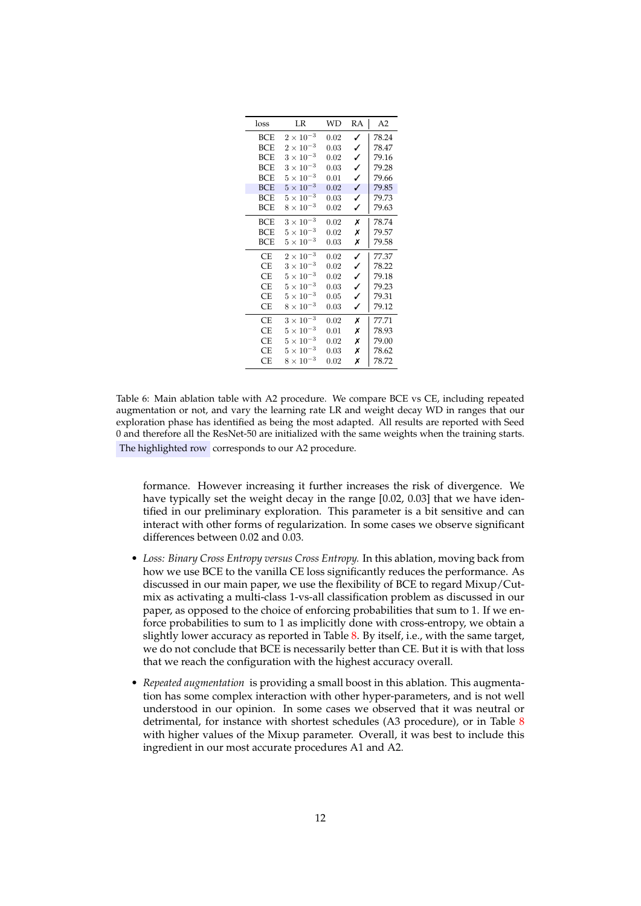<span id="page-11-0"></span>

| loss       | LR                 | WD   | RA | A2    |
|------------|--------------------|------|----|-------|
| BCE        | $2 \times 10^{-3}$ | 0.02 | ✓  | 78.24 |
| BCE        | $2 \times 10^{-3}$ | 0.03 | ✓  | 78.47 |
| <b>BCE</b> | $3 \times 10^{-3}$ | 0.02 | ✓  | 79.16 |
| <b>BCE</b> | $3 \times 10^{-3}$ | 0.03 | ✓  | 79.28 |
| <b>BCE</b> | $5 \times 10^{-3}$ | 0.01 | ✓  | 79.66 |
| <b>BCE</b> | $5 \times 10^{-3}$ | 0.02 | ✓  | 79.85 |
| <b>BCE</b> | $5 \times 10^{-3}$ | 0.03 | ✓  | 79.73 |
| BCE        | $8 \times 10^{-3}$ | 0.02 | ✓  | 79.63 |
| BCE        | $3 \times 10^{-3}$ | 0.02 | Х  | 78.74 |
| <b>BCE</b> | $5 \times 10^{-3}$ | 0.02 | Х  | 79.57 |
| <b>BCE</b> | $5 \times 10^{-3}$ | 0.03 | Х  | 79.58 |
| <b>CE</b>  | $2 \times 10^{-3}$ | 0.02 | ✓  | 77.37 |
| <b>CE</b>  | $3 \times 10^{-3}$ | 0.02 | ✓  | 78.22 |
| <b>CE</b>  | $5 \times 10^{-3}$ | 0.02 | ✓  | 79.18 |
| СE         | $5 \times 10^{-3}$ | 0.03 | ✓  | 79.23 |
| CE         | $5 \times 10^{-3}$ | 0.05 | ✓  | 79.31 |
| <b>CE</b>  | $8 \times 10^{-3}$ | 0.03 | ✓  | 79.12 |
| СE         | $3 \times 10^{-3}$ | 0.02 | Х  | 77.71 |
| СE         | $5 \times 10^{-3}$ | 0.01 | Х  | 78.93 |
| <b>CE</b>  | $5 \times 10^{-3}$ | 0.02 | Х  | 79.00 |
| CE         | $5 \times 10^{-3}$ | 0.03 | Х  | 78.62 |
| <b>CE</b>  | $8 \times 10^{-3}$ | 0.02 | Х  | 78.72 |

Table 6: Main ablation table with A2 procedure. We compare BCE vs CE, including repeated augmentation or not, and vary the learning rate LR and weight decay WD in ranges that our exploration phase has identified as being the most adapted. All results are reported with Seed 0 and therefore all the ResNet-50 are initialized with the same weights when the training starts. The highlighted row corresponds to our A2 procedure.

formance. However increasing it further increases the risk of divergence. We have typically set the weight decay in the range [0.02, 0.03] that we have identified in our preliminary exploration. This parameter is a bit sensitive and can interact with other forms of regularization. In some cases we observe significant differences between 0.02 and 0.03.

- *Loss: Binary Cross Entropy versus Cross Entropy.* In this ablation, moving back from how we use BCE to the vanilla CE loss significantly reduces the performance. As discussed in our main paper, we use the flexibility of BCE to regard Mixup/Cutmix as activating a multi-class 1-vs-all classification problem as discussed in our paper, as opposed to the choice of enforcing probabilities that sum to 1. If we enforce probabilities to sum to 1 as implicitly done with cross-entropy, we obtain a slightly lower accuracy as reported in Table [8.](#page-12-0) By itself, i.e., with the same target, we do not conclude that BCE is necessarily better than CE. But it is with that loss that we reach the configuration with the highest accuracy overall.
- *Repeated augmentation* is providing a small boost in this ablation. This augmentation has some complex interaction with other hyper-parameters, and is not well understood in our opinion. In some cases we observed that it was neutral or detrimental, for instance with shortest schedules (A3 procedure), or in Table [8](#page-12-0) with higher values of the Mixup parameter. Overall, it was best to include this ingredient in our most accurate procedures A1 and A2.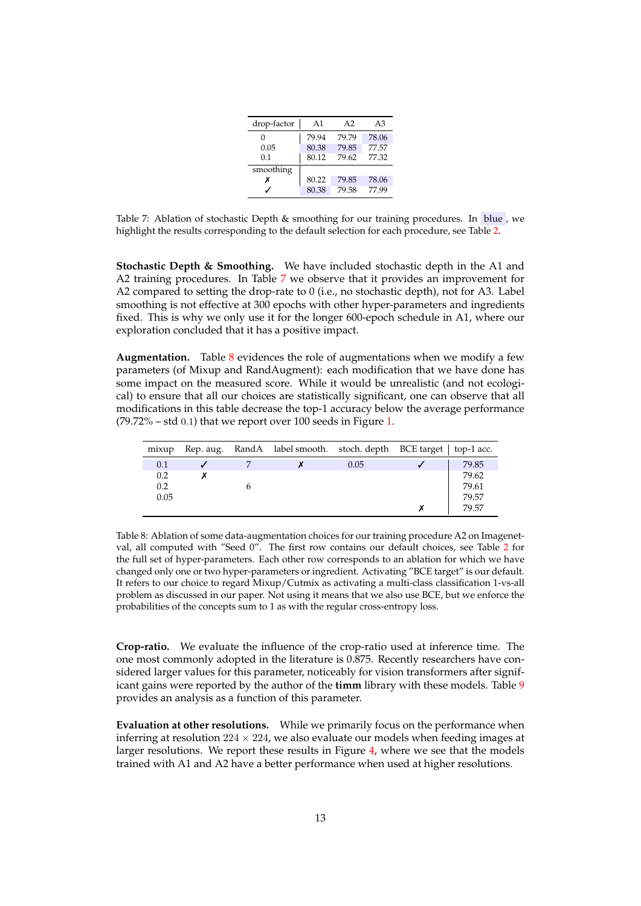| drop-factor | A1    | A <sub>2</sub> | A <sub>3</sub> |
|-------------|-------|----------------|----------------|
| 0           | 79.94 | 79.79          | 78.06          |
| 0.05        | 80.38 | 79.85          | 77.57          |
| 0.1         | 80.12 | 79.62          | 77.32          |
| smoothing   |       |                |                |
| х           | 80.22 | 79.85          | 78.06          |
|             | 80.38 | 79.58          | 77.99          |

<span id="page-12-1"></span>Table 7: Ablation of stochastic Depth & smoothing for our training procedures. In blue , we highlight the results corresponding to the default selection for each procedure, see Table [2.](#page-5-0)

**Stochastic Depth & Smoothing.** We have included stochastic depth in the A1 and A2 training procedures. In Table [7](#page-12-1) we observe that it provides an improvement for A2 compared to setting the drop-rate to 0 (i.e., no stochastic depth), not for A3. Label smoothing is not effective at 300 epochs with other hyper-parameters and ingredients fixed. This is why we only use it for the longer 600-epoch schedule in A1, where our exploration concluded that it has a positive impact.

**Augmentation.** Table [8](#page-12-0) evidences the role of augmentations when we modify a few parameters (of Mixup and RandAugment): each modification that we have done has some impact on the measured score. While it would be unrealistic (and not ecological) to ensure that all our choices are statistically significant, one can observe that all modifications in this table decrease the top-1 accuracy below the average performance  $(79.72\% - std\ 0.1)$  that we report over 100 seeds in Figure [1.](#page-9-0)

<span id="page-12-0"></span>

| mixup |  | Rep. aug. RandA label smooth. stoch. depth BCE target   top-1 acc. |      |       |
|-------|--|--------------------------------------------------------------------|------|-------|
| 0.1   |  |                                                                    | 0.05 | 79.85 |
| 0.2   |  |                                                                    |      | 79.62 |
| 0.2   |  |                                                                    |      | 79.61 |
| 0.05  |  |                                                                    |      | 79.57 |
|       |  |                                                                    |      | 79.57 |

Table 8: Ablation of some data-augmentation choices for our training procedure A2 on Imagenetval, all computed with "Seed 0". The first row contains our default choices, see Table [2](#page-5-0) for the full set of hyper-parameters. Each other row corresponds to an ablation for which we have changed only one or two hyper-parameters or ingredient. Activating "BCE target" is our default. It refers to our choice to regard Mixup/Cutmix as activating a multi-class classification 1-vs-all problem as discussed in our paper. Not using it means that we also use BCE, but we enforce the probabilities of the concepts sum to 1 as with the regular cross-entropy loss.

**Crop-ratio.** We evaluate the influence of the crop-ratio used at inference time. The one most commonly adopted in the literature is 0.875. Recently researchers have considered larger values for this parameter, noticeably for vision transformers after significant gains were reported by the author of the **timm** library with these models. Table [9](#page-13-0) provides an analysis as a function of this parameter.

**Evaluation at other resolutions.** While we primarily focus on the performance when inferring at resolution  $224 \times 224$ , we also evaluate our models when feeding images at larger resolutions. We report these results in Figure [4,](#page-13-1) where we see that the models trained with A1 and A2 have a better performance when used at higher resolutions.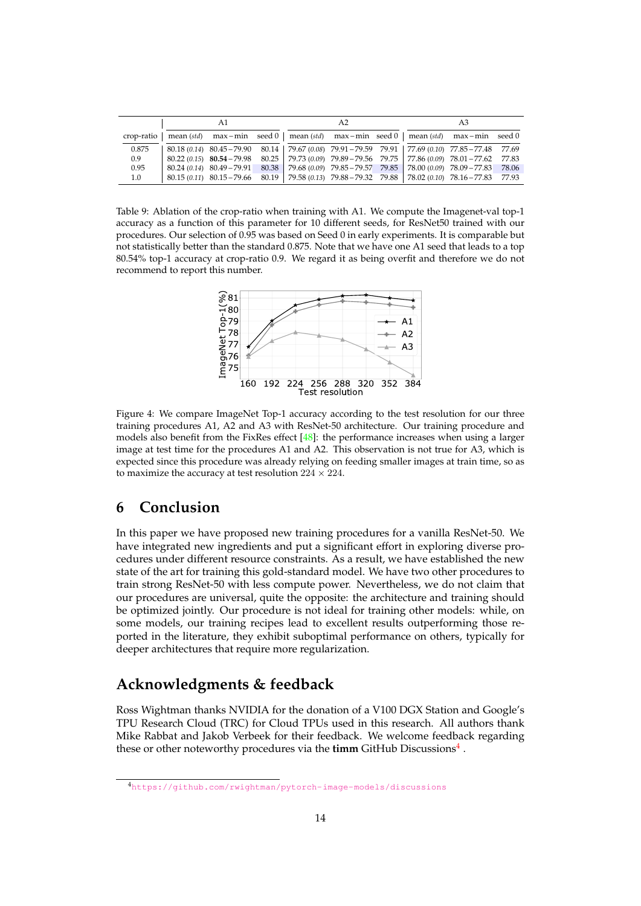<span id="page-13-3"></span><span id="page-13-0"></span>

|       | A1 |  |  | A2 | A3 |                                                                                                                       |  |
|-------|----|--|--|----|----|-----------------------------------------------------------------------------------------------------------------------|--|
|       |    |  |  |    |    | crop-ratio   mean (std) max - min seed 0   mean (std) max - min seed 0   mean (std) max - min seed 0                  |  |
| 0.875 |    |  |  |    |    | 80.18 (0.14) 80.45 - 79.90 80.14 79.67 (0.08) 79.91 - 79.59 79.91 77.69 (0.10) 77.85 - 77.48 77.69                    |  |
| 0.9   |    |  |  |    |    | $80.22(0.15)$ $80.54 - 79.98$ $80.25$   $79.73(0.09)$ $79.89 - 79.56$ $79.75$   $77.86(0.09)$ $78.01 - 77.62$ $77.83$ |  |
| 0.95  |    |  |  |    |    | 80.24 (0.14) 80.49 - 79.91 80.38 79.68 (0.09) 79.85 - 79.57 79.85 78.00 (0.09) 78.09 - 77.83 78.06                    |  |
| 1.0   |    |  |  |    |    | $80.15(0.11)$ $80.15-79.66$ $80.19$   $79.58(0.13)$ $79.88-79.32$ $79.88$   $78.02(0.10)$ $78.16-77.83$ $77.93$       |  |

<span id="page-13-1"></span>Table 9: Ablation of the crop-ratio when training with A1. We compute the Imagenet-val top-1 accuracy as a function of this parameter for 10 different seeds, for ResNet50 trained with our procedures. Our selection of 0.95 was based on Seed 0 in early experiments. It is comparable but not statistically better than the standard 0.875. Note that we have one A1 seed that leads to a top 80.54% top-1 accuracy at crop-ratio 0.9. We regard it as being overfit and therefore we do not recommend to report this number.



Figure 4: We compare ImageNet Top-1 accuracy according to the test resolution for our three training procedures A1, A2 and A3 with ResNet-50 architecture. Our training procedure and models also benefit from the FixRes effect [\[48\]](#page-16-6): the performance increases when using a larger image at test time for the procedures A1 and A2. This observation is not true for A3, which is expected since this procedure was already relying on feeding smaller images at train time, so as to maximize the accuracy at test resolution  $224 \times 224$ .

### **6 Conclusion**

In this paper we have proposed new training procedures for a vanilla ResNet-50. We have integrated new ingredients and put a significant effort in exploring diverse procedures under different resource constraints. As a result, we have established the new state of the art for training this gold-standard model. We have two other procedures to train strong ResNet-50 with less compute power. Nevertheless, we do not claim that our procedures are universal, quite the opposite: the architecture and training should be optimized jointly. Our procedure is not ideal for training other models: while, on some models, our training recipes lead to excellent results outperforming those reported in the literature, they exhibit suboptimal performance on others, typically for deeper architectures that require more regularization.

### **Acknowledgments & feedback**

Ross Wightman thanks NVIDIA for the donation of a V100 DGX Station and Google's TPU Research Cloud (TRC) for Cloud TPUs used in this research. All authors thank Mike Rabbat and Jakob Verbeek for their feedback. We welcome feedback regarding these or other noteworthy procedures via the **timm** GitHub Discussions<sup>[4](#page-13-2)</sup>.

<span id="page-13-2"></span><sup>4</sup><https://github.com/rwightman/pytorch-image-models/discussions>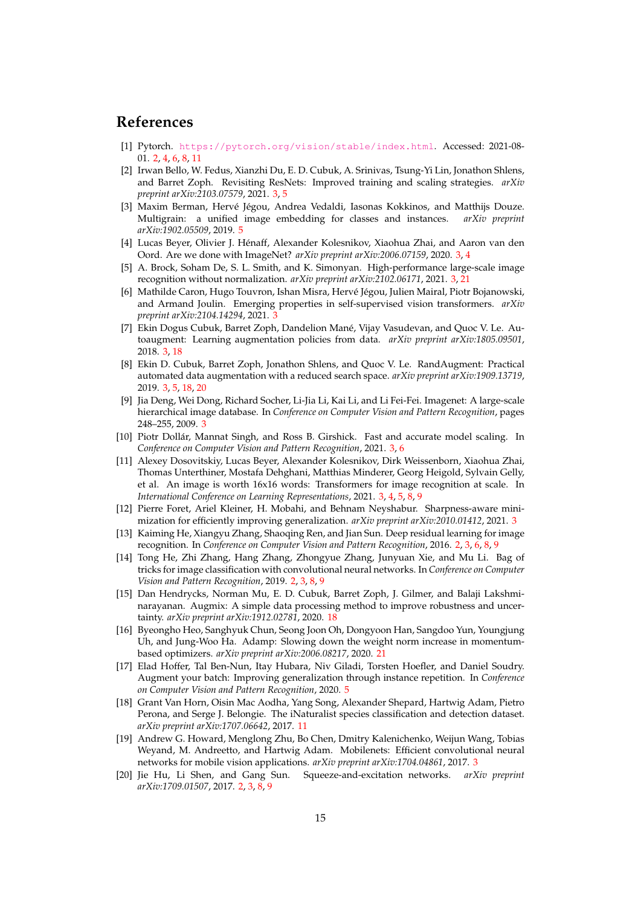#### **References**

- <span id="page-14-3"></span>[1] Pytorch. <https://pytorch.org/vision/stable/index.html>. Accessed: 2021-08- 01. [2,](#page-1-2) [4,](#page-3-1) [6,](#page-5-1) [8,](#page-7-1) [11](#page-10-3)
- <span id="page-14-8"></span>[2] Irwan Bello, W. Fedus, Xianzhi Du, E. D. Cubuk, A. Srinivas, Tsung-Yi Lin, Jonathon Shlens, and Barret Zoph. Revisiting ResNets: Improved training and scaling strategies. *arXiv preprint arXiv:2103.07579*, 2021. [3,](#page-2-0) [5](#page-4-0)
- <span id="page-14-15"></span>[3] Maxim Berman, Hervé Jégou, Andrea Vedaldi, Iasonas Kokkinos, and Matthijs Douze. Multigrain: a unified image embedding for classes and instances. *arXiv preprint arXiv:1902.05509*, 2019. [5](#page-4-0)
- <span id="page-14-13"></span>[4] Lucas Beyer, Olivier J. Henaff, Alexander Kolesnikov, Xiaohua Zhai, and Aaron van den ´ Oord. Are we done with ImageNet? *arXiv preprint arXiv:2006.07159*, 2020. [3,](#page-2-0) [4](#page-3-1)
- <span id="page-14-9"></span>[5] A. Brock, Soham De, S. L. Smith, and K. Simonyan. High-performance large-scale image recognition without normalization. *arXiv preprint arXiv:2102.06171*, 2021. [3,](#page-2-0) [21](#page-20-0)
- <span id="page-14-7"></span>[6] Mathilde Caron, Hugo Touvron, Ishan Misra, Hervé Jégou, Julien Mairal, Piotr Bojanowski, and Armand Joulin. Emerging properties in self-supervised vision transformers. *arXiv preprint arXiv:2104.14294*, 2021. [3](#page-2-0)
- <span id="page-14-11"></span>[7] Ekin Dogus Cubuk, Barret Zoph, Dandelion Mane, Vijay Vasudevan, and Quoc V. Le. Au- ´ toaugment: Learning augmentation policies from data. *arXiv preprint arXiv:1805.09501*, 2018. [3,](#page-2-0) [18](#page-17-1)
- <span id="page-14-5"></span>[8] Ekin D. Cubuk, Barret Zoph, Jonathon Shlens, and Quoc V. Le. RandAugment: Practical automated data augmentation with a reduced search space. *arXiv preprint arXiv:1909.13719*, 2019. [3,](#page-2-0) [5,](#page-4-0) [18,](#page-17-1) [20](#page-19-0)
- <span id="page-14-4"></span>[9] Jia Deng, Wei Dong, Richard Socher, Li-Jia Li, Kai Li, and Li Fei-Fei. Imagenet: A large-scale hierarchical image database. In *Conference on Computer Vision and Pattern Recognition*, pages 248–255, 2009. [3](#page-2-0)
- <span id="page-14-6"></span>[10] Piotr Dollar, Mannat Singh, and Ross B. Girshick. Fast and accurate model scaling. In ´ *Conference on Computer Vision and Pattern Recognition*, 2021. [3,](#page-2-0) [6](#page-5-1)
- <span id="page-14-10"></span>[11] Alexey Dosovitskiy, Lucas Beyer, Alexander Kolesnikov, Dirk Weissenborn, Xiaohua Zhai, Thomas Unterthiner, Mostafa Dehghani, Matthias Minderer, Georg Heigold, Sylvain Gelly, et al. An image is worth 16x16 words: Transformers for image recognition at scale. In *International Conference on Learning Representations*, 2021. [3,](#page-2-0) [4,](#page-3-1) [5,](#page-4-0) [8,](#page-7-1) [9](#page-8-1)
- <span id="page-14-12"></span>[12] Pierre Foret, Ariel Kleiner, H. Mobahi, and Behnam Neyshabur. Sharpness-aware minimization for efficiently improving generalization. *arXiv preprint arXiv:2010.01412*, 2021. [3](#page-2-0)
- <span id="page-14-0"></span>[13] Kaiming He, Xiangyu Zhang, Shaoqing Ren, and Jian Sun. Deep residual learning for image recognition. In *Conference on Computer Vision and Pattern Recognition*, 2016. [2,](#page-1-2) [3,](#page-2-0) [6,](#page-5-1) [8,](#page-7-1) [9](#page-8-1)
- <span id="page-14-2"></span>[14] Tong He, Zhi Zhang, Hang Zhang, Zhongyue Zhang, Junyuan Xie, and Mu Li. Bag of tricks for image classification with convolutional neural networks. In *Conference on Computer Vision and Pattern Recognition*, 2019. [2,](#page-1-2) [3,](#page-2-0) [8,](#page-7-1) [9](#page-8-1)
- <span id="page-14-18"></span>[15] Dan Hendrycks, Norman Mu, E. D. Cubuk, Barret Zoph, J. Gilmer, and Balaji Lakshminarayanan. Augmix: A simple data processing method to improve robustness and uncertainty. *arXiv preprint arXiv:1912.02781*, 2020. [18](#page-17-1)
- <span id="page-14-19"></span>[16] Byeongho Heo, Sanghyuk Chun, Seong Joon Oh, Dongyoon Han, Sangdoo Yun, Youngjung Uh, and Jung-Woo Ha. Adamp: Slowing down the weight norm increase in momentumbased optimizers. *arXiv preprint arXiv:2006.08217*, 2020. [21](#page-20-0)
- <span id="page-14-16"></span>[17] Elad Hoffer, Tal Ben-Nun, Itay Hubara, Niv Giladi, Torsten Hoefler, and Daniel Soudry. Augment your batch: Improving generalization through instance repetition. In *Conference on Computer Vision and Pattern Recognition*, 2020. [5](#page-4-0)
- <span id="page-14-17"></span>[18] Grant Van Horn, Oisin Mac Aodha, Yang Song, Alexander Shepard, Hartwig Adam, Pietro Perona, and Serge J. Belongie. The iNaturalist species classification and detection dataset. *arXiv preprint arXiv:1707.06642*, 2017. [11](#page-10-3)
- <span id="page-14-14"></span>[19] Andrew G. Howard, Menglong Zhu, Bo Chen, Dmitry Kalenichenko, Weijun Wang, Tobias Weyand, M. Andreetto, and Hartwig Adam. Mobilenets: Efficient convolutional neural networks for mobile vision applications. *arXiv preprint arXiv:1704.04861*, 2017. [3](#page-2-0)
- <span id="page-14-1"></span>[20] Jie Hu, Li Shen, and Gang Sun. Squeeze-and-excitation networks. *arXiv preprint arXiv:1709.01507*, 2017. [2,](#page-1-2) [3,](#page-2-0) [8,](#page-7-1) [9](#page-8-1)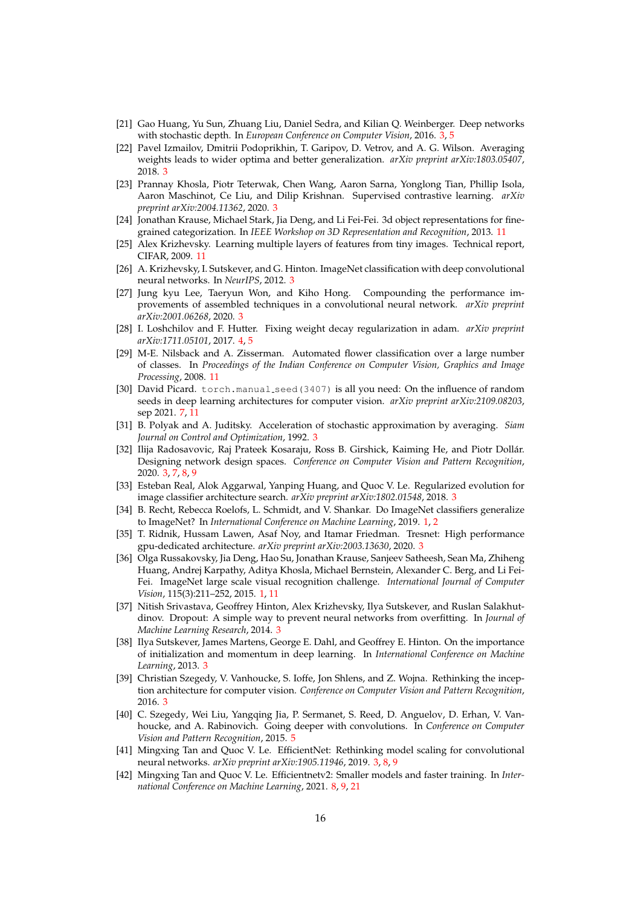- <span id="page-15-7"></span>[21] Gao Huang, Yu Sun, Zhuang Liu, Daniel Sedra, and Kilian Q. Weinberger. Deep networks with stochastic depth. In *European Conference on Computer Vision*, 2016. [3,](#page-2-0) [5](#page-4-0)
- <span id="page-15-9"></span>[22] Pavel Izmailov, Dmitrii Podoprikhin, T. Garipov, D. Vetrov, and A. G. Wilson. Averaging weights leads to wider optima and better generalization. *arXiv preprint arXiv:1803.05407*, 2018. [3](#page-2-0)
- <span id="page-15-11"></span>[23] Prannay Khosla, Piotr Teterwak, Chen Wang, Aaron Sarna, Yonglong Tian, Phillip Isola, Aaron Maschinot, Ce Liu, and Dilip Krishnan. Supervised contrastive learning. *arXiv preprint arXiv:2004.11362*, 2020. [3](#page-2-0)
- <span id="page-15-20"></span>[24] Jonathan Krause, Michael Stark, Jia Deng, and Li Fei-Fei. 3d object representations for finegrained categorization. In *IEEE Workshop on 3D Representation and Recognition*, 2013. [11](#page-10-3)
- <span id="page-15-21"></span>[25] Alex Krizhevsky. Learning multiple layers of features from tiny images. Technical report, CIFAR, 2009. [11](#page-10-3)
- <span id="page-15-5"></span>[26] A. Krizhevsky, I. Sutskever, and G. Hinton. ImageNet classification with deep convolutional neural networks. In *NeurIPS*, 2012. [3](#page-2-0)
- <span id="page-15-4"></span>[27] Jung kyu Lee, Taeryun Won, and Kiho Hong. Compounding the performance improvements of assembled techniques in a convolutional neural network. *arXiv preprint arXiv:2001.06268*, 2020. [3](#page-2-0)
- <span id="page-15-15"></span>[28] I. Loshchilov and F. Hutter. Fixing weight decay regularization in adam. *arXiv preprint arXiv:1711.05101*, 2017. [4,](#page-3-1) [5](#page-4-0)
- <span id="page-15-19"></span>[29] M-E. Nilsback and A. Zisserman. Automated flower classification over a large number of classes. In *Proceedings of the Indian Conference on Computer Vision, Graphics and Image Processing*, 2008. [11](#page-10-3)
- <span id="page-15-17"></span>[30] David Picard. torch.manual\_seed(3407) is all you need: On the influence of random seeds in deep learning architectures for computer vision. *arXiv preprint arXiv:2109.08203*, sep 2021. [7,](#page-6-2) [11](#page-10-3)
- <span id="page-15-10"></span>[31] B. Polyak and A. Juditsky. Acceleration of stochastic approximation by averaging. *Siam Journal on Control and Optimization*, 1992. [3](#page-2-0)
- <span id="page-15-2"></span>[32] Ilija Radosavovic, Raj Prateek Kosaraju, Ross B. Girshick, Kaiming He, and Piotr Dollar. ´ Designing network design spaces. *Conference on Computer Vision and Pattern Recognition*, 2020. [3,](#page-2-0) [7,](#page-6-2) [8,](#page-7-1) [9](#page-8-1)
- <span id="page-15-14"></span>[33] Esteban Real, Alok Aggarwal, Yanping Huang, and Quoc V. Le. Regularized evolution for image classifier architecture search. *arXiv preprint arXiv:1802.01548*, 2018. [3](#page-2-0)
- <span id="page-15-1"></span>[34] B. Recht, Rebecca Roelofs, L. Schmidt, and V. Shankar. Do ImageNet classifiers generalize to ImageNet? In *International Conference on Machine Learning*, 2019. [1,](#page-0-1) [2](#page-1-2)
- <span id="page-15-3"></span>[35] T. Ridnik, Hussam Lawen, Asaf Noy, and Itamar Friedman. Tresnet: High performance gpu-dedicated architecture. *arXiv preprint arXiv:2003.13630*, 2020. [3](#page-2-0)
- <span id="page-15-0"></span>[36] Olga Russakovsky, Jia Deng, Hao Su, Jonathan Krause, Sanjeev Satheesh, Sean Ma, Zhiheng Huang, Andrej Karpathy, Aditya Khosla, Michael Bernstein, Alexander C. Berg, and Li Fei-Fei. ImageNet large scale visual recognition challenge. *International Journal of Computer Vision*, 115(3):211–252, 2015. [1,](#page-0-1) [11](#page-10-3)
- <span id="page-15-8"></span>[37] Nitish Srivastava, Geoffrey Hinton, Alex Krizhevsky, Ilya Sutskever, and Ruslan Salakhutdinov. Dropout: A simple way to prevent neural networks from overfitting. In *Journal of Machine Learning Research*, 2014. [3](#page-2-0)
- <span id="page-15-12"></span>[38] Ilya Sutskever, James Martens, George E. Dahl, and Geoffrey E. Hinton. On the importance of initialization and momentum in deep learning. In *International Conference on Machine Learning*, 2013. [3](#page-2-0)
- <span id="page-15-13"></span>[39] Christian Szegedy, V. Vanhoucke, S. Ioffe, Jon Shlens, and Z. Wojna. Rethinking the inception architecture for computer vision. *Conference on Computer Vision and Pattern Recognition*, 2016. [3](#page-2-0)
- <span id="page-15-16"></span>[40] C. Szegedy, Wei Liu, Yangqing Jia, P. Sermanet, S. Reed, D. Anguelov, D. Erhan, V. Vanhoucke, and A. Rabinovich. Going deeper with convolutions. In *Conference on Computer Vision and Pattern Recognition*, 2015. [5](#page-4-0)
- <span id="page-15-6"></span>[41] Mingxing Tan and Quoc V. Le. EfficientNet: Rethinking model scaling for convolutional neural networks. *arXiv preprint arXiv:1905.11946*, 2019. [3,](#page-2-0) [8,](#page-7-1) [9](#page-8-1)
- <span id="page-15-18"></span>[42] Mingxing Tan and Quoc V. Le. Efficientnetv2: Smaller models and faster training. In *International Conference on Machine Learning*, 2021. [8,](#page-7-1) [9,](#page-8-1) [21](#page-20-0)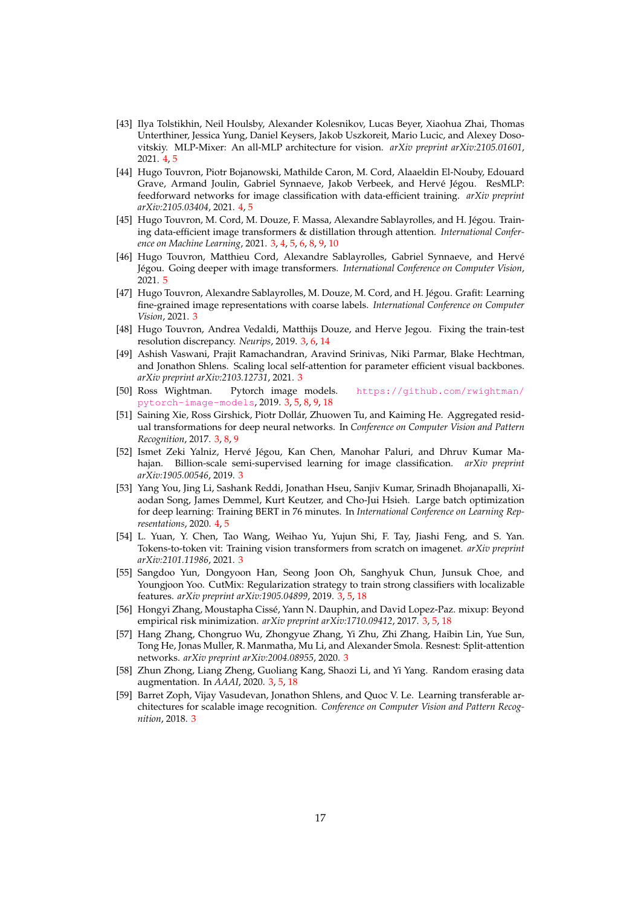- <span id="page-16-13"></span>[43] Ilya Tolstikhin, Neil Houlsby, Alexander Kolesnikov, Lucas Beyer, Xiaohua Zhai, Thomas Unterthiner, Jessica Yung, Daniel Keysers, Jakob Uszkoreit, Mario Lucic, and Alexey Dosovitskiy. MLP-Mixer: An all-MLP architecture for vision. *arXiv preprint arXiv:2105.01601*, 2021. [4,](#page-3-1) [5](#page-4-0)
- <span id="page-16-14"></span>[44] Hugo Touvron, Piotr Bojanowski, Mathilde Caron, M. Cord, Alaaeldin El-Nouby, Edouard Grave, Armand Joulin, Gabriel Synnaeve, Jakob Verbeek, and Hervé Jégou. ResMLP: feedforward networks for image classification with data-efficient training. *arXiv preprint arXiv:2105.03404*, 2021. [4,](#page-3-1) [5](#page-4-0)
- <span id="page-16-9"></span>[45] Hugo Touvron, M. Cord, M. Douze, F. Massa, Alexandre Sablayrolles, and H. Jégou. Training data-efficient image transformers & distillation through attention. *International Conference on Machine Learning*, 2021. [3,](#page-2-0) [4,](#page-3-1) [5,](#page-4-0) [6,](#page-5-1) [8,](#page-7-1) [9,](#page-8-1) [10](#page-9-2)
- <span id="page-16-16"></span>[46] Hugo Touvron, Matthieu Cord, Alexandre Sablayrolles, Gabriel Synnaeve, and Hervé Jegou. Going deeper with image transformers. ´ *International Conference on Computer Vision*, 2021. [5](#page-4-0)
- <span id="page-16-5"></span>[47] Hugo Touvron, Alexandre Sablayrolles, M. Douze, M. Cord, and H. Jégou. Grafit: Learning fine-grained image representations with coarse labels. *International Conference on Computer Vision*, 2021. [3](#page-2-0)
- <span id="page-16-6"></span>[48] Hugo Touvron, Andrea Vedaldi, Matthijs Douze, and Herve Jegou. Fixing the train-test resolution discrepancy. *Neurips*, 2019. [3,](#page-2-0) [6,](#page-5-1) [14](#page-13-3)
- <span id="page-16-8"></span>[49] Ashish Vaswani, Prajit Ramachandran, Aravind Srinivas, Niki Parmar, Blake Hechtman, and Jonathon Shlens. Scaling local self-attention for parameter efficient visual backbones. *arXiv preprint arXiv:2103.12731*, 2021. [3](#page-2-0)
- <span id="page-16-0"></span>[50] Ross Wightman. Pytorch image models. [https://github.com/rwightman/](https://github.com/rwightman/pytorch-image-models) [pytorch-image-models](https://github.com/rwightman/pytorch-image-models), 2019. [3,](#page-2-0) [5,](#page-4-0) [8,](#page-7-1) [9,](#page-8-1) [18](#page-17-1)
- <span id="page-16-3"></span>[51] Saining Xie, Ross Girshick, Piotr Dollar, Zhuowen Tu, and Kaiming He. Aggregated resid- ´ ual transformations for deep neural networks. In *Conference on Computer Vision and Pattern Recognition*, 2017. [3,](#page-2-0) [8,](#page-7-1) [9](#page-8-1)
- <span id="page-16-10"></span>[52] Ismet Zeki Yalniz, Hervé Jégou, Kan Chen, Manohar Paluri, and Dhruv Kumar Mahajan. Billion-scale semi-supervised learning for image classification. *arXiv preprint arXiv:1905.00546*, 2019. [3](#page-2-0)
- <span id="page-16-15"></span>[53] Yang You, Jing Li, Sashank Reddi, Jonathan Hseu, Sanjiv Kumar, Srinadh Bhojanapalli, Xiaodan Song, James Demmel, Kurt Keutzer, and Cho-Jui Hsieh. Large batch optimization for deep learning: Training BERT in 76 minutes. In *International Conference on Learning Representations*, 2020. [4,](#page-3-1) [5](#page-4-0)
- <span id="page-16-7"></span>[54] L. Yuan, Y. Chen, Tao Wang, Weihao Yu, Yujun Shi, F. Tay, Jiashi Feng, and S. Yan. Tokens-to-token vit: Training vision transformers from scratch on imagenet. *arXiv preprint arXiv:2101.11986*, 2021. [3](#page-2-0)
- <span id="page-16-1"></span>[55] Sangdoo Yun, Dongyoon Han, Seong Joon Oh, Sanghyuk Chun, Junsuk Choe, and Youngjoon Yoo. CutMix: Regularization strategy to train strong classifiers with localizable features. *arXiv preprint arXiv:1905.04899*, 2019. [3,](#page-2-0) [5,](#page-4-0) [18](#page-17-1)
- <span id="page-16-2"></span>[56] Hongyi Zhang, Moustapha Cisse, Yann N. Dauphin, and David Lopez-Paz. mixup: Beyond ´ empirical risk minimization. *arXiv preprint arXiv:1710.09412*, 2017. [3,](#page-2-0) [5,](#page-4-0) [18](#page-17-1)
- <span id="page-16-4"></span>[57] Hang Zhang, Chongruo Wu, Zhongyue Zhang, Yi Zhu, Zhi Zhang, Haibin Lin, Yue Sun, Tong He, Jonas Muller, R. Manmatha, Mu Li, and Alexander Smola. Resnest: Split-attention networks. *arXiv preprint arXiv:2004.08955*, 2020. [3](#page-2-0)
- <span id="page-16-11"></span>[58] Zhun Zhong, Liang Zheng, Guoliang Kang, Shaozi Li, and Yi Yang. Random erasing data augmentation. In *AAAI*, 2020. [3,](#page-2-0) [5,](#page-4-0) [18](#page-17-1)
- <span id="page-16-12"></span>[59] Barret Zoph, Vijay Vasudevan, Jonathon Shlens, and Quoc V. Le. Learning transferable architectures for scalable image recognition. *Conference on Computer Vision and Pattern Recognition*, 2018. [3](#page-2-0)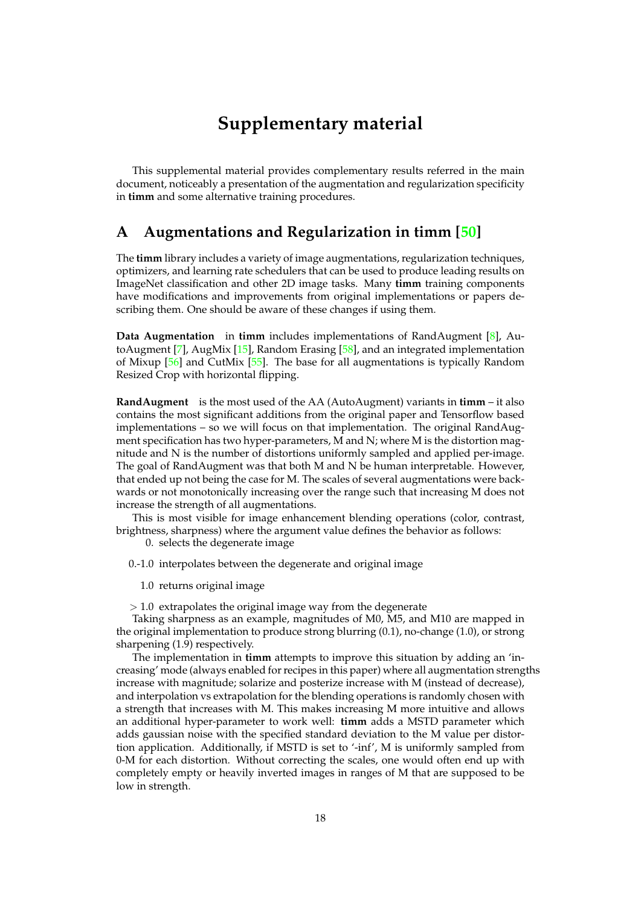# **Supplementary material**

<span id="page-17-1"></span>This supplemental material provides complementary results referred in the main document, noticeably a presentation of the augmentation and regularization specificity in **timm** and some alternative training procedures.

### <span id="page-17-0"></span>**A Augmentations and Regularization in timm [\[50\]](#page-16-0)**

The **timm** library includes a variety of image augmentations, regularization techniques, optimizers, and learning rate schedulers that can be used to produce leading results on ImageNet classification and other 2D image tasks. Many **timm** training components have modifications and improvements from original implementations or papers describing them. One should be aware of these changes if using them.

**Data Augmentation** in **timm** includes implementations of RandAugment [\[8\]](#page-14-5), AutoAugment [\[7\]](#page-14-11), AugMix [\[15\]](#page-14-18), Random Erasing [\[58\]](#page-16-11), and an integrated implementation of Mixup [\[56\]](#page-16-2) and CutMix [\[55\]](#page-16-1). The base for all augmentations is typically Random Resized Crop with horizontal flipping.

**RandAugment** is the most used of the AA (AutoAugment) variants in **timm** – it also contains the most significant additions from the original paper and Tensorflow based implementations – so we will focus on that implementation. The original RandAugment specification has two hyper-parameters, M and N; where M is the distortion magnitude and N is the number of distortions uniformly sampled and applied per-image. The goal of RandAugment was that both M and N be human interpretable. However, that ended up not being the case for M. The scales of several augmentations were backwards or not monotonically increasing over the range such that increasing M does not increase the strength of all augmentations.

This is most visible for image enhancement blending operations (color, contrast, brightness, sharpness) where the argument value defines the behavior as follows:

0. selects the degenerate image

0.-1.0 interpolates between the degenerate and original image

1.0 returns original image

 $> 1.0$  extrapolates the original image way from the degenerate

Taking sharpness as an example, magnitudes of M0, M5, and M10 are mapped in the original implementation to produce strong blurring (0.1), no-change (1.0), or strong sharpening (1.9) respectively.

The implementation in **timm** attempts to improve this situation by adding an 'increasing' mode (always enabled for recipes in this paper) where all augmentation strengths increase with magnitude; solarize and posterize increase with M (instead of decrease), and interpolation vs extrapolation for the blending operations is randomly chosen with a strength that increases with M. This makes increasing M more intuitive and allows an additional hyper-parameter to work well: **timm** adds a MSTD parameter which adds gaussian noise with the specified standard deviation to the M value per distortion application. Additionally, if MSTD is set to '-inf', M is uniformly sampled from 0-M for each distortion. Without correcting the scales, one would often end up with completely empty or heavily inverted images in ranges of M that are supposed to be low in strength.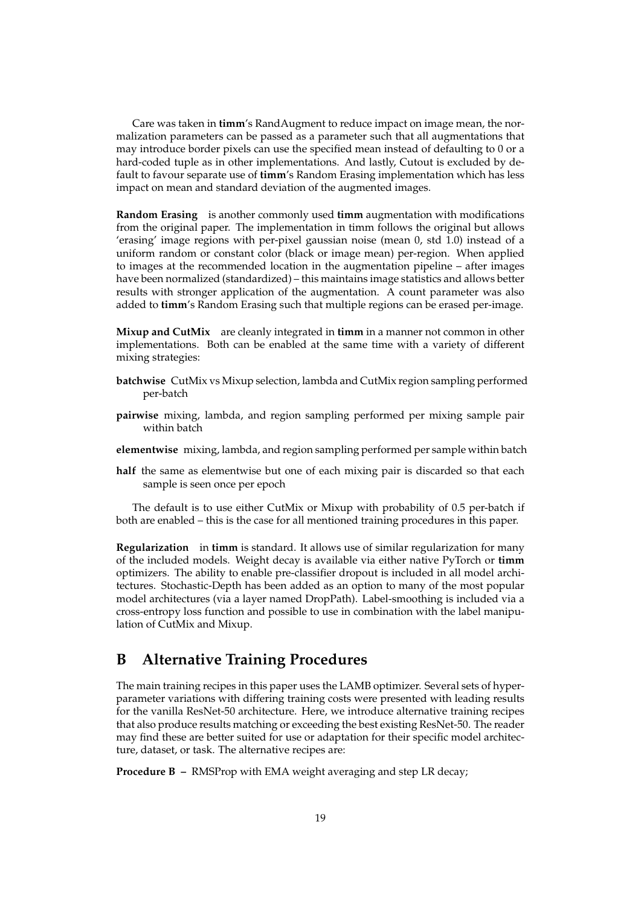Care was taken in **timm**'s RandAugment to reduce impact on image mean, the normalization parameters can be passed as a parameter such that all augmentations that may introduce border pixels can use the specified mean instead of defaulting to 0 or a hard-coded tuple as in other implementations. And lastly, Cutout is excluded by default to favour separate use of **timm**'s Random Erasing implementation which has less impact on mean and standard deviation of the augmented images.

**Random Erasing** is another commonly used **timm** augmentation with modifications from the original paper. The implementation in timm follows the original but allows 'erasing' image regions with per-pixel gaussian noise (mean 0, std 1.0) instead of a uniform random or constant color (black or image mean) per-region. When applied to images at the recommended location in the augmentation pipeline – after images have been normalized (standardized) – this maintains image statistics and allows better results with stronger application of the augmentation. A count parameter was also added to **timm**'s Random Erasing such that multiple regions can be erased per-image.

**Mixup and CutMix** are cleanly integrated in **timm** in a manner not common in other implementations. Both can be enabled at the same time with a variety of different mixing strategies:

- **batchwise** CutMix vs Mixup selection, lambda and CutMix region sampling performed per-batch
- **pairwise** mixing, lambda, and region sampling performed per mixing sample pair within batch
- **elementwise** mixing, lambda, and region sampling performed per sample within batch
- **half** the same as elementwise but one of each mixing pair is discarded so that each sample is seen once per epoch

The default is to use either CutMix or Mixup with probability of 0.5 per-batch if both are enabled – this is the case for all mentioned training procedures in this paper.

**Regularization** in **timm** is standard. It allows use of similar regularization for many of the included models. Weight decay is available via either native PyTorch or **timm** optimizers. The ability to enable pre-classifier dropout is included in all model architectures. Stochastic-Depth has been added as an option to many of the most popular model architectures (via a layer named DropPath). Label-smoothing is included via a cross-entropy loss function and possible to use in combination with the label manipulation of CutMix and Mixup.

## <span id="page-18-0"></span>**B Alternative Training Procedures**

The main training recipes in this paper uses the LAMB optimizer. Several sets of hyperparameter variations with differing training costs were presented with leading results for the vanilla ResNet-50 architecture. Here, we introduce alternative training recipes that also produce results matching or exceeding the best existing ResNet-50. The reader may find these are better suited for use or adaptation for their specific model architecture, dataset, or task. The alternative recipes are:

**Procedure B –** RMSProp with EMA weight averaging and step LR decay;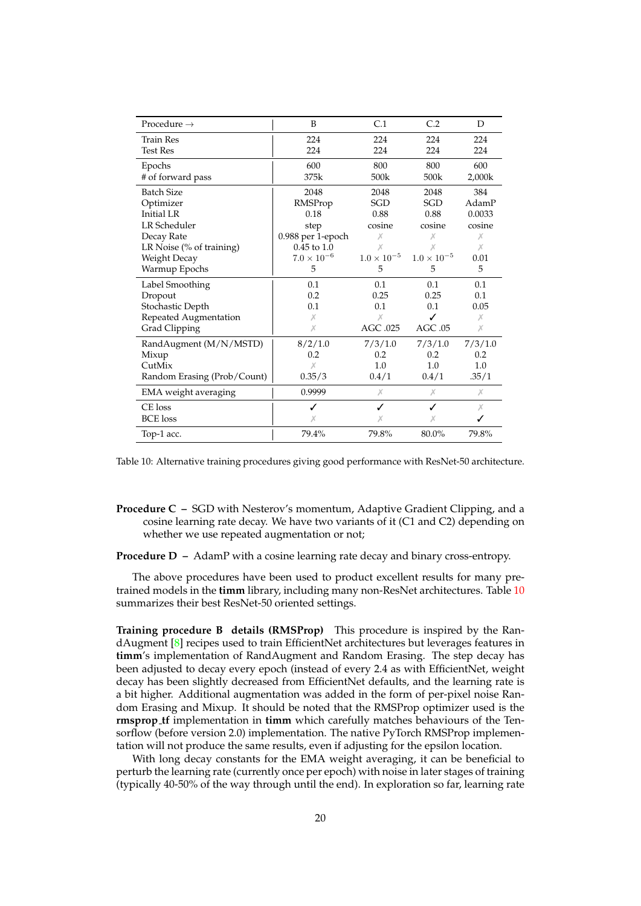<span id="page-19-1"></span><span id="page-19-0"></span>

| Procedure $\rightarrow$     | B                    | C.1                  | C.2                  | D       |
|-----------------------------|----------------------|----------------------|----------------------|---------|
| <b>Train Res</b>            | 224                  | 224                  | 224                  | 224     |
| <b>Test Res</b>             | 224                  | 224                  | 224                  | 224     |
| Epochs                      | 600                  | 800                  | 800                  | 600     |
| # of forward pass           | 375k                 | 500k                 | 500k                 | 2,000k  |
| <b>Batch Size</b>           | 2048                 | 2048                 | 2048                 | 384     |
| Optimizer                   | RMSProp              | SGD                  | <b>SGD</b>           | AdamP   |
| <b>Initial LR</b>           | 0.18                 | 0.88                 | 0.88                 | 0.0033  |
| <b>LR</b> Scheduler         | step                 | cosine               | cosine               | cosine  |
| Decay Rate                  | 0.988 per 1-epoch    | Х                    | Х                    | Х       |
| LR Noise (% of training)    | $0.45$ to $1.0$      | Х                    | Х                    | Х       |
| Weight Decay                | $7.0 \times 10^{-6}$ | $1.0 \times 10^{-5}$ | $1.0 \times 10^{-5}$ | 0.01    |
| Warmup Epochs               | 5                    | 5                    | 5                    | 5       |
| Label Smoothing             | 0.1                  | 0.1                  | 0.1                  | 0.1     |
| Dropout                     | 0.2                  | 0.25                 | 0.25                 | 0.1     |
| Stochastic Depth            | 0.1                  | 0.1                  | 0.1                  | 0.05    |
| Repeated Augmentation       | Х                    | Х                    | ✓                    | Х       |
| Grad Clipping               | Х                    | AGC .025             | AGC.05               | Х       |
| RandAugment (M/N/MSTD)      | 8/2/1.0              | 7/3/1.0              | 7/3/1.0              | 7/3/1.0 |
| Mixup                       | 0.2                  | 0.2                  | 0.2                  | 0.2     |
| CutMix                      | Х                    | 1.0                  | 1.0                  | 1.0     |
| Random Erasing (Prob/Count) | 0.35/3               | 0.4/1                | 0.4/1                | .35/1   |
| EMA weight averaging        | 0.9999               | Х                    | Х                    | Х       |
| CE loss                     | ✓                    | ✓                    | ✓                    | Х       |
| <b>BCE</b> loss             | Х                    | Х                    | Х                    | ✓       |
| Top-1 acc.                  | 79.4%                | 79.8%                | 80.0%                | 79.8%   |

Table 10: Alternative training procedures giving good performance with ResNet-50 architecture.

- **Procedure C –** SGD with Nesterov's momentum, Adaptive Gradient Clipping, and a cosine learning rate decay. We have two variants of it (C1 and C2) depending on whether we use repeated augmentation or not;
- **Procedure D –** AdamP with a cosine learning rate decay and binary cross-entropy.

The above procedures have been used to product excellent results for many pretrained models in the **timm** library, including many non-ResNet architectures. Table [10](#page-19-1) summarizes their best ResNet-50 oriented settings.

**Training procedure B details (RMSProp)** This procedure is inspired by the RandAugment [\[8\]](#page-14-5) recipes used to train EfficientNet architectures but leverages features in **timm**'s implementation of RandAugment and Random Erasing. The step decay has been adjusted to decay every epoch (instead of every 2.4 as with EfficientNet, weight decay has been slightly decreased from EfficientNet defaults, and the learning rate is a bit higher. Additional augmentation was added in the form of per-pixel noise Random Erasing and Mixup. It should be noted that the RMSProp optimizer used is the **rmsprop tf** implementation in **timm** which carefully matches behaviours of the Tensorflow (before version 2.0) implementation. The native PyTorch RMSProp implementation will not produce the same results, even if adjusting for the epsilon location.

With long decay constants for the EMA weight averaging, it can be beneficial to perturb the learning rate (currently once per epoch) with noise in later stages of training (typically 40-50% of the way through until the end). In exploration so far, learning rate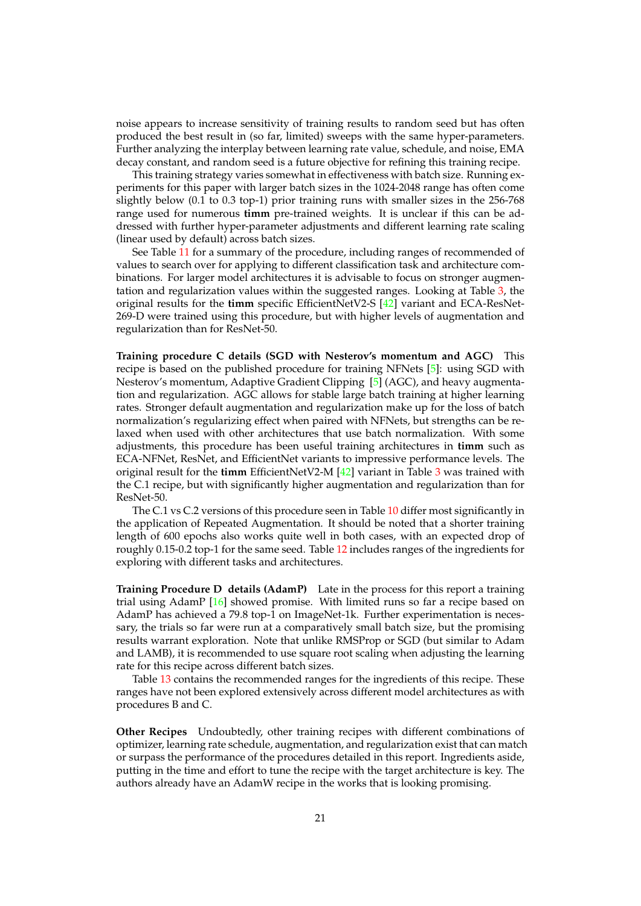<span id="page-20-0"></span>noise appears to increase sensitivity of training results to random seed but has often produced the best result in (so far, limited) sweeps with the same hyper-parameters. Further analyzing the interplay between learning rate value, schedule, and noise, EMA decay constant, and random seed is a future objective for refining this training recipe.

This training strategy varies somewhat in effectiveness with batch size. Running experiments for this paper with larger batch sizes in the 1024-2048 range has often come slightly below (0.1 to 0.3 top-1) prior training runs with smaller sizes in the 256-768 range used for numerous **timm** pre-trained weights. It is unclear if this can be addressed with further hyper-parameter adjustments and different learning rate scaling (linear used by default) across batch sizes.

See Table [11](#page-21-0) for a summary of the procedure, including ranges of recommended of values to search over for applying to different classification task and architecture combinations. For larger model architectures it is advisable to focus on stronger augmentation and regularization values within the suggested ranges. Looking at Table [3,](#page-7-0) the original results for the **timm** specific EfficientNetV2-S [\[42\]](#page-15-18) variant and ECA-ResNet-269-D were trained using this procedure, but with higher levels of augmentation and regularization than for ResNet-50.

**Training procedure C details (SGD with Nesterov's momentum and AGC)** This recipe is based on the published procedure for training NFNets [\[5\]](#page-14-9): using SGD with Nesterov's momentum, Adaptive Gradient Clipping [\[5\]](#page-14-9) (AGC), and heavy augmentation and regularization. AGC allows for stable large batch training at higher learning rates. Stronger default augmentation and regularization make up for the loss of batch normalization's regularizing effect when paired with NFNets, but strengths can be relaxed when used with other architectures that use batch normalization. With some adjustments, this procedure has been useful training architectures in **timm** such as ECA-NFNet, ResNet, and EfficientNet variants to impressive performance levels. The original result for the **timm** EfficientNetV2-M [\[42\]](#page-15-18) variant in Table [3](#page-7-0) was trained with the C.1 recipe, but with significantly higher augmentation and regularization than for ResNet-50.

The C.1 vs C.2 versions of this procedure seen in Table [10](#page-19-1) differ most significantly in the application of Repeated Augmentation. It should be noted that a shorter training length of 600 epochs also works quite well in both cases, with an expected drop of roughly 0.15-0.2 top-1 for the same seed. Table [12](#page-21-1) includes ranges of the ingredients for exploring with different tasks and architectures.

**Training Procedure D details (AdamP)** Late in the process for this report a training trial using AdamP [\[16\]](#page-14-19) showed promise. With limited runs so far a recipe based on AdamP has achieved a 79.8 top-1 on ImageNet-1k. Further experimentation is necessary, the trials so far were run at a comparatively small batch size, but the promising results warrant exploration. Note that unlike RMSProp or SGD (but similar to Adam and LAMB), it is recommended to use square root scaling when adjusting the learning rate for this recipe across different batch sizes.

Table [13](#page-21-2) contains the recommended ranges for the ingredients of this recipe. These ranges have not been explored extensively across different model architectures as with procedures B and C.

**Other Recipes** Undoubtedly, other training recipes with different combinations of optimizer, learning rate schedule, augmentation, and regularization exist that can match or surpass the performance of the procedures detailed in this report. Ingredients aside, putting in the time and effort to tune the recipe with the target architecture is key. The authors already have an AdamW recipe in the works that is looking promising.